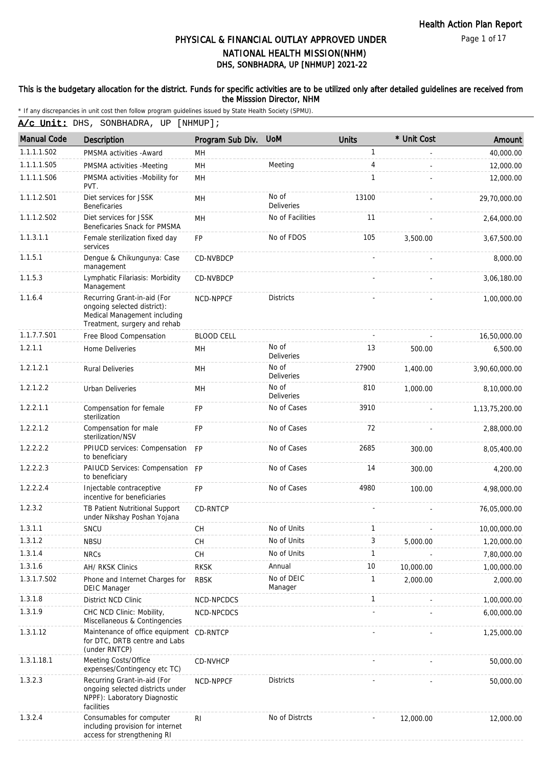Page 1 of 17

### DHS, SONBHADRA, UP [NHMUP] 2021-22 PHYSICAL & FINANCIAL OUTLAY APPROVED UNDER NATIONAL HEALTH MISSION(NHM)

#### This is the budgetary allocation for the district. Funds for specific activities are to be utilized only after detailed guidelines are received from the Misssion Director, NHM

| A/c Unit: DHS, SONBHADRA, UP [NHMUP]; |  |
|---------------------------------------|--|
|---------------------------------------|--|

| <b>Manual Code</b> | Description                                                                                                                | Program Sub Div.  | <b>UoM</b>                 | <b>Units</b> | * Unit Cost | Amount            |
|--------------------|----------------------------------------------------------------------------------------------------------------------------|-------------------|----------------------------|--------------|-------------|-------------------|
| 1.1.1.1.S02        | PMSMA activities - Award                                                                                                   | MН                |                            | $\mathbf{1}$ |             | 40,000.00         |
| 1.1.1.1.S05        | PMSMA activities -Meeting                                                                                                  | MH                | Meeting                    | 4            |             | 12,000.00         |
| 1.1.1.1.S06        | PMSMA activities -Mobility for<br>PVT.                                                                                     | MH                |                            | $\mathbf{1}$ |             | 12,000.00         |
| 1.1.1.2.S01        | Diet services for JSSK<br><b>Beneficaries</b>                                                                              | MH                | No of<br><b>Deliveries</b> | 13100        |             | 29,70,000.00      |
| 1.1.1.2.S02        | Diet services for JSSK<br>Beneficaries Snack for PMSMA                                                                     | MH                | No of Facilities           | 11           |             | 2,64,000.00       |
| 1.1.3.1.1          | Female sterilization fixed day<br>services                                                                                 | <b>FP</b>         | No of FDOS                 | 105          | 3,500.00    | 3,67,500.00       |
| 1.1.5.1            | Dengue & Chikungunya: Case<br>management                                                                                   | CD-NVBDCP         |                            |              |             | 8,000.00          |
| 1.1.5.3            | Lymphatic Filariasis: Morbidity<br>Management                                                                              | CD-NVBDCP         |                            |              |             | 3,06,180.00       |
| 1.1.6.4            | Recurring Grant-in-aid (For<br>ongoing selected district):<br>Medical Management including<br>Treatment, surgery and rehab | NCD-NPPCF         | <b>Districts</b>           |              |             | 1,00,000.00       |
| 1.1.7.7.S01        | Free Blood Compensation                                                                                                    | <b>BLOOD CELL</b> |                            |              |             | 16.50.000.00      |
| 1.2.1.1            | Home Deliveries                                                                                                            | MН                | No of<br><b>Deliveries</b> | 13           | 500.00      | 6,500.00          |
| 1.2.1.2.1          | <b>Rural Deliveries</b>                                                                                                    | MH                | No of<br><b>Deliveries</b> | 27900        | 1,400.00    | 3,90,60,000.00    |
| 1.2.1.2.2          | <b>Urban Deliveries</b>                                                                                                    | MН                | No of<br><b>Deliveries</b> | 810          | 1,000.00    | 8,10,000.00       |
| 1.2.2.1.1          | Compensation for female<br>sterilization                                                                                   | <b>FP</b>         | No of Cases                | 3910         |             | 1, 13, 75, 200.00 |
| 1.2.2.1.2          | Compensation for male<br>sterilization/NSV                                                                                 | <b>FP</b>         | No of Cases                | 72           |             | 2,88,000.00       |
| 1.2.2.2.2          | PPIUCD services: Compensation<br>to beneficiary                                                                            | <b>FP</b>         | No of Cases                | 2685         | 300.00      | 8,05,400.00       |
| 1.2.2.2.3          | PAIUCD Services: Compensation FP<br>to beneficiary                                                                         |                   | No of Cases                | 14           | 300.00      | 4,200.00          |
| 1.2.2.2.4          | Injectable contraceptive<br>incentive for beneficiaries                                                                    | <b>FP</b>         | No of Cases                | 4980         | 100.00      | 4,98,000.00       |
| 1.2.3.2            | TB Patient Nutritional Support<br>under Nikshay Poshan Yojana                                                              | CD-RNTCP          |                            |              |             | 76,05,000.00      |
| 1.3.1.1            | SNCU                                                                                                                       | <b>CH</b>         | No of Units                | $\mathbf{1}$ |             | 10,00,000.00      |
| 1.3.1.2            | <b>NBSU</b>                                                                                                                | CН                | No of Units                | 3            | 5,000.00    | 1,20,000.00       |
| 1.3.1.4            | <b>NRCs</b>                                                                                                                | <b>CH</b>         | No of Units                | 1            |             | 7,80,000.00       |
| 1.3.1.6            | AH/ RKSK Clinics                                                                                                           | <b>RKSK</b>       | Annual                     | 10           | 10,000.00   | 1,00,000.00       |
| 1.3.1.7.S02        | Phone and Internet Charges for<br><b>DEIC Manager</b>                                                                      | <b>RBSK</b>       | No of DEIC<br>Manager      | $\mathbf{1}$ | 2,000.00    | 2,000.00          |
| 1.3.1.8            | District NCD Clinic                                                                                                        | NCD-NPCDCS        |                            | $\mathbf{1}$ |             | 1,00,000.00       |
| 1.3.1.9            | CHC NCD Clinic: Mobility,<br>Miscellaneous & Contingencies                                                                 | NCD-NPCDCS        |                            |              |             | 6,00,000.00       |
| 1.3.1.12           | Maintenance of office equipment CD-RNTCP<br>for DTC, DRTB centre and Labs<br>(under RNTCP)                                 |                   |                            |              |             | 1,25,000.00       |
| 1.3.1.18.1         | Meeting Costs/Office<br>expenses/Contingency etc TC)                                                                       | <b>CD-NVHCP</b>   |                            |              |             | 50,000.00         |
| 1.3.2.3            | Recurring Grant-in-aid (For<br>ongoing selected districts under<br>NPPF): Laboratory Diagnostic<br>facilities              | NCD-NPPCF         | <b>Districts</b>           |              |             | 50,000.00         |
| 1.3.2.4            | Consumables for computer<br>including provision for internet<br>access for strengthening RI                                | R <sub>l</sub>    | No of Distrcts             |              | 12,000.00   | 12,000.00         |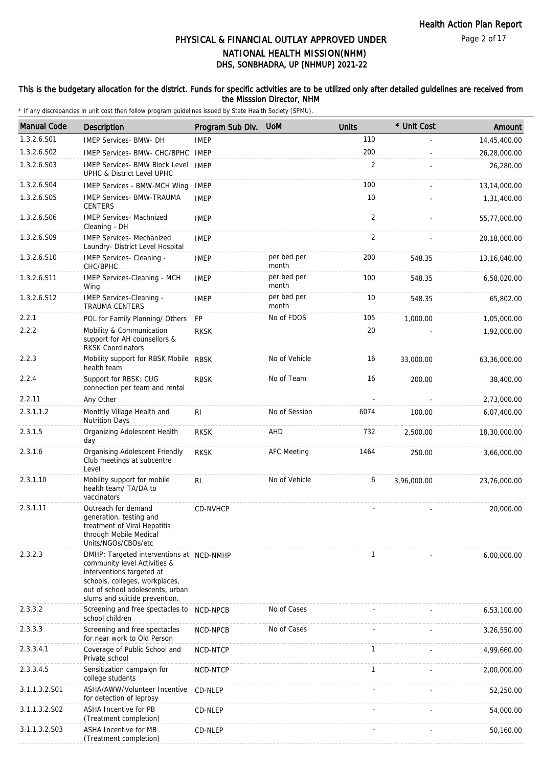#### This is the budgetary allocation for the district. Funds for specific activities are to be utilized only after detailed guidelines are received from the Misssion Director, NHM

| <b>Manual Code</b> | Description                                                                                                                                                                                                  | Program Sub Div. UoM |                      | <b>Units</b>   | * Unit Cost | Amount       |
|--------------------|--------------------------------------------------------------------------------------------------------------------------------------------------------------------------------------------------------------|----------------------|----------------------|----------------|-------------|--------------|
| 1.3.2.6.S01        | <b>IMEP Services- BMW- DH</b>                                                                                                                                                                                | <b>IMEP</b>          |                      | 110            |             | 14,45,400.00 |
| 1.3.2.6.S02        | IMEP Services- BMW- CHC/BPHC                                                                                                                                                                                 | IMEP                 |                      | 200            |             | 26,28,000.00 |
| 1.3.2.6.S03        | <b>IMEP Services- BMW Block Level</b><br>UPHC & District Level UPHC                                                                                                                                          | <b>IMEP</b>          |                      | 2              |             | 26,280.00    |
| 1.3.2.6.S04        | <b>IMEP Services - BMW-MCH Wing</b>                                                                                                                                                                          | <b>IMEP</b>          |                      | 100            |             | 13,14,000.00 |
| 1.3.2.6.S05        | <b>IMEP Services- BMW-TRAUMA</b><br><b>CENTERS</b>                                                                                                                                                           | <b>IMEP</b>          |                      | 10             |             | 1,31,400.00  |
| 1.3.2.6.S06        | <b>IMEP Services- Machnized</b><br>Cleaning - DH                                                                                                                                                             | <b>IMEP</b>          |                      | 2              |             | 55,77,000.00 |
| 1.3.2.6.S09        | <b>IMEP Services- Mechanized</b><br>Laundry- District Level Hospital                                                                                                                                         | <b>IMEP</b>          |                      | $\overline{2}$ |             | 20,18,000.00 |
| 1.3.2.6.S10        | IMEP Services- Cleaning -<br>CHC/BPHC                                                                                                                                                                        | <b>IMEP</b>          | per bed per<br>month | 200            | 548.35      | 13,16,040.00 |
| 1.3.2.6.S11        | IMEP Services-Cleaning - MCH<br>Wing                                                                                                                                                                         | <b>IMEP</b>          | per bed per<br>month | 100            | 548.35      | 6,58,020.00  |
| 1.3.2.6.S12        | <b>IMEP Services-Cleaning -</b><br><b>TRAUMA CENTERS</b>                                                                                                                                                     | <b>IMEP</b>          | per bed per<br>month | 10             | 548.35      | 65,802.00    |
| 2.2.1              | POL for Family Planning/ Others                                                                                                                                                                              | <b>FP</b>            | No of FDOS           | 105            | 1,000.00    | 1,05,000.00  |
| 2.2.2              | Mobility & Communication<br>support for AH counsellors &<br><b>RKSK Coordinators</b>                                                                                                                         | <b>RKSK</b>          |                      | 20             |             | 1,92,000.00  |
| 2.2.3              | Mobility support for RBSK Mobile RBSK<br>health team                                                                                                                                                         |                      | No of Vehicle        | 16             | 33,000.00   | 63,36,000.00 |
| 2.2.4              | Support for RBSK: CUG<br>connection per team and rental                                                                                                                                                      | <b>RBSK</b>          | No of Team           | 16             | 200.00      | 38,400.00    |
| 2.2.11             | Any Other                                                                                                                                                                                                    |                      |                      |                |             | 2,73,000.00  |
| 2.3.1.1.2          | Monthly Village Health and<br><b>Nutrition Days</b>                                                                                                                                                          | RI.                  | No of Session        | 6074           | 100.00      | 6,07,400.00  |
| 2.3.1.5            | Organizing Adolescent Health<br>day                                                                                                                                                                          | <b>RKSK</b>          | AHD                  | 732            | 2,500.00    | 18,30,000.00 |
| 2.3.1.6            | <b>Organising Adolescent Friendly</b><br>Club meetings at subcentre<br>Level                                                                                                                                 | <b>RKSK</b>          | <b>AFC Meeting</b>   | 1464           | 250.00      | 3,66,000.00  |
| 2.3.1.10           | Mobility support for mobile<br>health team/ TA/DA to<br>vaccinators                                                                                                                                          | RI                   | No of Vehicle        | 6              | 3,96,000.00 | 23,76,000.00 |
| 2.3.1.11           | Outreach for demand<br>generation, testing and<br>treatment of Viral Hepatitis<br>through Mobile Medical<br>Units/NGOs/CBOs/etc                                                                              | CD-NVHCP             |                      |                |             | 20,000.00    |
| 2.3.2.3            | DMHP: Targeted interventions at NCD-NMHP<br>community level Activities &<br>interventions targeted at<br>schools, colleges, workplaces,<br>out of school adolescents, urban<br>slums and suicide prevention. |                      |                      | $\mathbf{1}$   |             | 6,00,000.00  |
| 2.3.3.2            | Screening and free spectacles to<br>school children                                                                                                                                                          | NCD-NPCB             | No of Cases          |                |             | 6,53,100.00  |
| 2.3.3.3            | Screening and free spectacles<br>for near work to Old Person                                                                                                                                                 | NCD-NPCB             | No of Cases          |                |             | 3,26,550.00  |
| 2.3.3.4.1          | Coverage of Public School and<br>Private school                                                                                                                                                              | NCD-NTCP             |                      | $\mathbf{1}$   |             | 4,99,660.00  |
| 2.3.3.4.5          | Sensitization campaign for<br>college students                                                                                                                                                               | NCD-NTCP             |                      | $\mathbf{1}$   |             | 2,00,000.00  |
| 3.1.1.3.2.S01      | ASHA/AWW/Volunteer Incentive<br>for detection of leprosy                                                                                                                                                     | CD-NLEP              |                      |                |             | 52,250.00    |
| 3.1.1.3.2.S02      | ASHA Incentive for PB<br>(Treatment completion)                                                                                                                                                              | CD-NLEP              |                      |                |             | 54,000.00    |
| 3.1.1.3.2.S03      | <b>ASHA Incentive for MB</b><br>(Treatment completion)                                                                                                                                                       | CD-NLEP              |                      |                |             | 50,160.00    |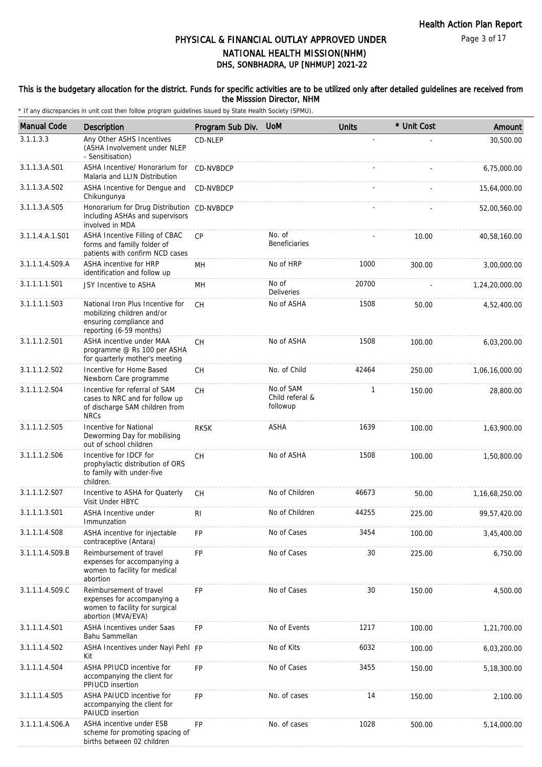Page 3 of 17

# PHYSICAL & FINANCIAL OUTLAY APPROVED UNDER NATIONAL HEALTH MISSION(NHM)

# DHS, SONBHADRA, UP [NHMUP] 2021-22

#### This is the budgetary allocation for the district. Funds for specific activities are to be utilized only after detailed guidelines are received from the Misssion Director, NHM

| <b>Manual Code</b> | Description                                                                                                          | Program Sub Div. | <b>UoM</b>                               | <b>Units</b> | * Unit Cost | Amount         |
|--------------------|----------------------------------------------------------------------------------------------------------------------|------------------|------------------------------------------|--------------|-------------|----------------|
| 3.1.1.3.3          | Any Other ASHS Incentives<br>(ASHA Involvement under NLEP<br>- Sensitisation)                                        | CD-NLEP          |                                          |              |             | 30,500.00      |
| 3.1.1.3.A.S01      | ASHA Incentive/ Honorarium for<br>Malaria and LLIN Distribution                                                      | <b>CD-NVBDCP</b> |                                          |              |             | 6.75.000.00    |
| 3.1.1.3.A.S02      | ASHA Incentive for Dengue and<br>Chikungunya                                                                         | CD-NVBDCP        |                                          |              |             | 15,64,000.00   |
| 3.1.1.3.A.S05      | Honorarium for Drug Distribution CD-NVBDCP<br>including ASHAs and supervisors<br>involved in MDA                     |                  |                                          |              |             | 52,00,560.00   |
| 3.1.1.4.A.1.S01    | ASHA Incentive Filling of CBAC<br>forms and familly folder of<br>patients with confirm NCD cases                     | <b>CP</b>        | No. of<br><b>Beneficiaries</b>           |              | 10.00       | 40,58,160.00   |
| 3.1.1.1.4.S09.A    | ASHA incentive for HRP<br>identification and follow up                                                               | MН               | No of HRP                                | 1000         | 300.00      | 3,00,000.00    |
| 3.1.1.1.1.S01      | JSY Incentive to ASHA                                                                                                | MН               | No of<br><b>Deliveries</b>               | 20700        |             | 1,24,20,000.00 |
| 3.1.1.1.1.S03      | National Iron Plus Incentive for<br>mobilizing children and/or<br>ensuring compliance and<br>reporting (6-59 months) | <b>CH</b>        | No of ASHA                               | 1508         | 50.00       | 4,52,400.00    |
| 3.1.1.1.2.S01      | ASHA incentive under MAA<br>programme @ Rs 100 per ASHA<br>for quarterly mother's meeting                            | CH               | No of ASHA                               | 1508         | 100.00      | 6,03,200.00    |
| 3.1.1.1.2.S02      | Incentive for Home Based<br>Newborn Care programme                                                                   | <b>CH</b>        | No. of Child                             | 42464        | 250.00      | 1,06,16,000.00 |
| 3.1.1.1.2.S04      | Incentive for referral of SAM<br>cases to NRC and for follow up<br>of discharge SAM children from<br><b>NRCs</b>     | <b>CH</b>        | No.of SAM<br>Child referal &<br>followup | 1            | 150.00      | 28,800.00      |
| 3.1.1.1.2.S05      | Incentive for National<br>Deworming Day for mobilising<br>out of school children                                     | <b>RKSK</b>      | <b>ASHA</b>                              | 1639         | 100.00      | 1,63,900.00    |
| 3.1.1.1.2.S06      | Incentive for IDCF for<br>prophylactic distribution of ORS<br>to family with under-five<br>children.                 | <b>CH</b>        | No of ASHA                               | 1508         | 100.00      | 1,50,800.00    |
| 3.1.1.1.2.S07      | Incentive to ASHA for Quaterly<br>Visit Under HBYC                                                                   | СH               | No of Children                           | 46673        | 50.00       | 1,16,68,250.00 |
| 3.1.1.1.3.S01      | <b>ASHA Incentive under</b><br>Immunzation                                                                           | R <sub>l</sub>   | No of Children                           | 44255        | 225.00      | 99,57,420.00   |
| 3.1.1.1.4.S08      | ASHA incentive for injectable<br>contraceptive (Antara)                                                              | FP               | No of Cases                              | 3454         | 100.00      | 3,45,400.00    |
| 3.1.1.1.4.S09.B    | Reimbursement of travel<br>expenses for accompanying a<br>women to facility for medical<br>abortion                  | <b>FP</b>        | No of Cases                              | 30           | 225.00      | 6,750.00       |
| 3.1.1.1.4.S09.C    | Reimbursement of travel<br>expenses for accompanying a<br>women to facility for surgical<br>abortion (MVA/EVA)       | FP               | No of Cases                              | 30           | 150.00      | 4,500.00       |
| 3.1.1.1.4.S01      | ASHA Incentives under Saas<br>Bahu Sammellan                                                                         | <b>FP</b>        | No of Events                             | 1217         | 100.00      | 1,21,700.00    |
| 3.1.1.1.4.S02      | ASHA Incentives under Nayi Pehl FP<br>Kit                                                                            |                  | No of Kits                               | 6032         | 100.00      | 6,03,200.00    |
| 3.1.1.1.4.S04      | ASHA PPIUCD incentive for<br>accompanying the client for<br>PPIUCD insertion                                         | FP               | No of Cases                              | 3455         | 150.00      | 5,18,300.00    |
| 3.1.1.1.4.S05      | ASHA PAIUCD incentive for<br>accompanying the client for<br>PAIUCD insertion                                         | <b>FP</b>        | No. of cases                             | 14           | 150.00      | 2,100.00       |
| 3.1.1.1.4.S06.A    | ASHA incentive under ESB<br>scheme for promoting spacing of<br>births between 02 children                            | FP               | No. of cases                             | 1028         | 500.00      | 5,14,000.00    |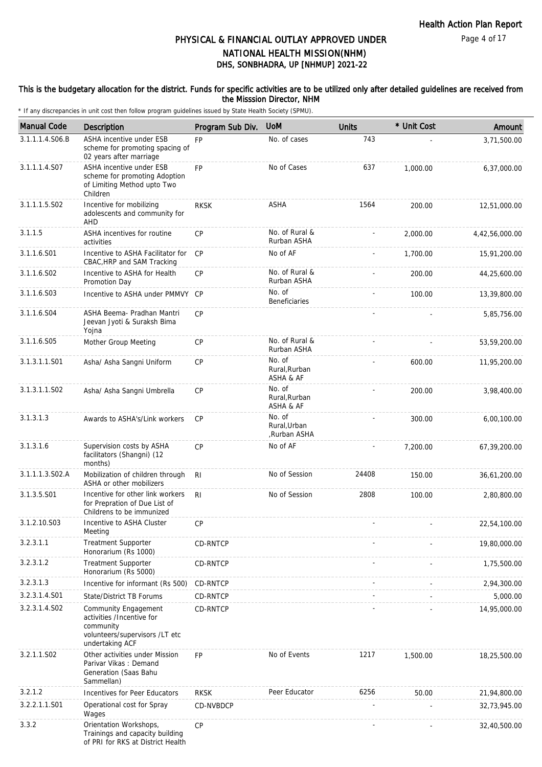#### This is the budgetary allocation for the district. Funds for specific activities are to be utilized only after detailed guidelines are received from the Misssion Director, NHM

| <b>Manual Code</b> | Description                                                                                                                | Program Sub Div. | <b>UOM</b>                             | <b>Units</b> | * Unit Cost | Amount         |
|--------------------|----------------------------------------------------------------------------------------------------------------------------|------------------|----------------------------------------|--------------|-------------|----------------|
| 3.1.1.1.4.S06.B    | ASHA incentive under ESB<br>scheme for promoting spacing of<br>02 years after marriage                                     | <b>FP</b>        | No. of cases                           | 743          |             | 3,71,500.00    |
| 3.1.1.1.4.S07      | ASHA incentive under ESB<br>scheme for promoting Adoption<br>of Limiting Method upto Two<br>Children                       | <b>FP</b>        | No of Cases                            | 637          | 1,000.00    | 6,37,000.00    |
| 3.1.1.1.5.S02      | Incentive for mobilizing<br>adolescents and community for<br>AHD                                                           | <b>RKSK</b>      | ASHA                                   | 1564         | 200.00      | 12,51,000.00   |
| 3.1.1.5            | ASHA incentives for routine<br>activities                                                                                  | <b>CP</b>        | No. of Rural &<br>Rurban ASHA          |              | 2,000.00    | 4,42,56,000.00 |
| 3.1.1.6.S01        | Incentive to ASHA Facilitator for<br>CBAC, HRP and SAM Tracking                                                            | <b>CP</b>        | No of AF                               |              | 1,700.00    | 15,91,200.00   |
| 3.1.1.6.S02        | Incentive to ASHA for Health<br>Promotion Day                                                                              | CP               | No. of Rural &<br>Rurban ASHA          |              | 200.00      | 44,25,600.00   |
| 3.1.1.6.S03        | Incentive to ASHA under PMMVY CP                                                                                           |                  | No. of<br><b>Beneficiaries</b>         |              | 100.00      | 13,39,800.00   |
| 3.1.1.6.S04        | ASHA Beema- Pradhan Mantri<br>Jeevan Jyoti & Suraksh Bima<br>Yojna                                                         | CP               |                                        |              |             | 5,85,756.00    |
| 3.1.1.6.S05        | Mother Group Meeting                                                                                                       | <b>CP</b>        | No. of Rural &<br>Rurban ASHA          |              |             | 53,59,200.00   |
| 3.1.3.1.1.S01      | Asha/ Asha Sangni Uniform                                                                                                  | <b>CP</b>        | No. of<br>Rural, Rurban<br>ASHA & AF   |              | 600.00      | 11,95,200.00   |
| 3.1.3.1.1.S02      | Asha/ Asha Sangni Umbrella                                                                                                 | <b>CP</b>        | No. of<br>Rural, Rurban<br>ASHA & AF   |              | 200.00      | 3,98,400.00    |
| 3.1.3.1.3          | Awards to ASHA's/Link workers                                                                                              | <b>CP</b>        | No. of<br>Rural, Urban<br>,Rurban ASHA |              | 300.00      | 6,00,100.00    |
| 3.1.3.1.6          | Supervision costs by ASHA<br>facilitators (Shangni) (12<br>months)                                                         | <b>CP</b>        | No of AF                               |              | 7,200.00    | 67,39,200.00   |
| 3.1.1.1.3.S02.A    | Mobilization of children through<br>ASHA or other mobilizers                                                               | <b>RI</b>        | No of Session                          | 24408        | 150.00      | 36,61,200.00   |
| 3.1.3.5.S01        | Incentive for other link workers<br>for Prepration of Due List of<br>Childrens to be immunized                             | R <sub>l</sub>   | No of Session                          | 2808         | 100.00      | 2,80,800.00    |
| 3.1.2.10.S03       | Incentive to ASHA Cluster<br>Meeting                                                                                       | <b>CP</b>        |                                        |              |             | 22,54,100.00   |
| 3.2.3.1.1          | <b>Treatment Supporter</b><br>Honorarium (Rs 1000)                                                                         | CD-RNTCP         |                                        |              |             | 19,80,000.00   |
| 3.2.3.1.2          | <b>Treatment Supporter</b><br>Honorarium (Rs 5000)                                                                         | CD-RNTCP         |                                        |              |             | 1,75,500.00    |
| 3.2.3.1.3          | Incentive for informant (Rs 500)                                                                                           | <b>CD-RNTCP</b>  |                                        |              |             | 2,94,300.00    |
| 3.2.3.1.4.S01      | <b>State/District TB Forums</b>                                                                                            | CD-RNTCP         |                                        |              |             | 5,000.00       |
| 3.2.3.1.4.S02      | <b>Community Engagement</b><br>activities /Incentive for<br>community<br>volunteers/supervisors /LT etc<br>undertaking ACF | CD-RNTCP         |                                        |              |             | 14,95,000.00   |
| 3.2.1.1.S02        | Other activities under Mission<br>Parivar Vikas: Demand<br>Generation (Saas Bahu<br>Sammellan)                             | FP               | No of Events                           | 1217         | 1,500.00    | 18,25,500.00   |
| 3.2.1.2            | Incentives for Peer Educators                                                                                              | <b>RKSK</b>      | Peer Educator                          | 6256         | 50.00       | 21,94,800.00   |
| 3.2.2.1.1.S01      | Operational cost for Spray<br>Wages                                                                                        | CD-NVBDCP        |                                        |              |             | 32,73,945.00   |
| 3.3.2              | Orientation Workshops,<br>Trainings and capacity building<br>of PRI for RKS at District Health                             | CP               |                                        |              |             | 32,40,500.00   |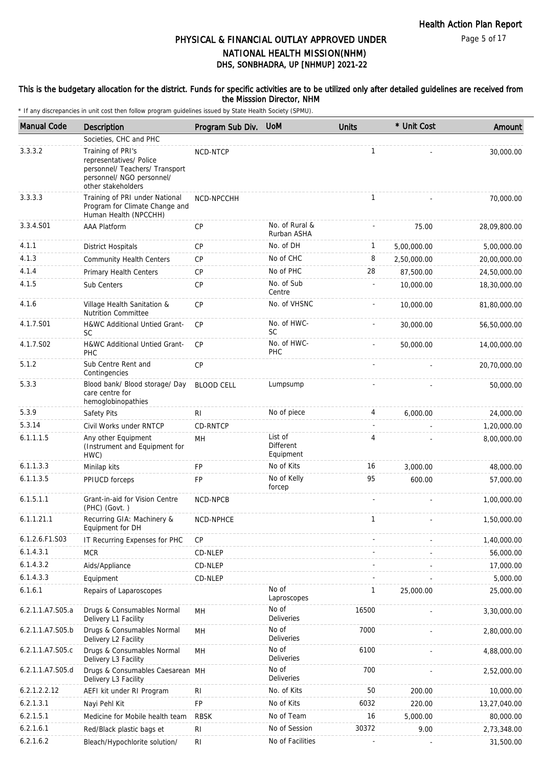#### This is the budgetary allocation for the district. Funds for specific activities are to be utilized only after detailed guidelines are received from the Misssion Director, NHM

| <b>Manual Code</b> | <b>Description</b>                                                                                                                | Program Sub Div.  | <b>UoM</b>                               | <b>Units</b>             | * Unit Cost | Amount       |
|--------------------|-----------------------------------------------------------------------------------------------------------------------------------|-------------------|------------------------------------------|--------------------------|-------------|--------------|
|                    | Societies, CHC and PHC                                                                                                            |                   |                                          |                          |             |              |
| 3.3.3.2            | Training of PRI's<br>representatives/ Police<br>personnel/ Teachers/ Transport<br>personnel/ NGO personnel/<br>other stakeholders | NCD-NTCP          |                                          | $\mathbf{1}$             |             | 30,000.00    |
| 3.3.3.3            | Training of PRI under National<br>Program for Climate Change and<br>Human Health (NPCCHH)                                         | NCD-NPCCHH        |                                          | $\mathbf{1}$             |             | 70,000.00    |
| 3.3.4.S01          | <b>AAA Platform</b>                                                                                                               | CP                | No. of Rural &<br>Rurban ASHA            |                          | 75.00       | 28,09,800.00 |
| 4.1.1              | <b>District Hospitals</b>                                                                                                         | CP                | No. of DH                                | 1                        | 5,00,000.00 | 5,00,000.00  |
| 4.1.3              | <b>Community Health Centers</b>                                                                                                   | CP                | No of CHC                                | 8                        | 2,50,000.00 | 20,00,000.00 |
| 4.1.4              | Primary Health Centers                                                                                                            | <b>CP</b>         | No of PHC                                | 28                       | 87,500.00   | 24,50,000.00 |
| 4.1.5              | Sub Centers                                                                                                                       | CP                | No. of Sub<br>Centre                     |                          | 10,000.00   | 18,30,000.00 |
| 4.1.6              | Village Health Sanitation &<br><b>Nutrition Committee</b>                                                                         | <b>CP</b>         | No. of VHSNC                             |                          | 10,000.00   | 81,80,000.00 |
| 4.1.7.S01          | H&WC Additional Untied Grant-<br><b>SC</b>                                                                                        | CP                | No. of HWC-<br>SC                        |                          | 30,000.00   | 56,50,000.00 |
| 4.1.7.S02          | H&WC Additional Untied Grant-<br><b>PHC</b>                                                                                       | <b>CP</b>         | No. of HWC-<br>PHC                       |                          | 50,000.00   | 14,00,000.00 |
| 5.1.2              | Sub Centre Rent and<br>Contingencies                                                                                              | <b>CP</b>         |                                          |                          |             | 20,70,000.00 |
| 5.3.3              | Blood bank/ Blood storage/ Day<br>care centre for<br>hemoglobinopathies                                                           | <b>BLOOD CELL</b> | Lumpsump                                 |                          |             | 50,000.00    |
| 5.3.9              | Safety Pits                                                                                                                       | RI                | No of piece                              | 4                        | 6,000.00    | 24,000.00    |
| 5.3.14             | Civil Works under RNTCP                                                                                                           | CD-RNTCP          |                                          | $\overline{\phantom{a}}$ |             | 1,20,000.00  |
| 6.1.1.1.5          | Any other Equipment<br>(Instrument and Equipment for<br>HWC)                                                                      | MH                | List of<br><b>Different</b><br>Equipment | 4                        |             | 8,00,000.00  |
| 6.1.1.3.3          | Minilap kits                                                                                                                      | <b>FP</b>         | No of Kits                               | 16                       | 3,000.00    | 48,000.00    |
| 6.1.1.3.5          | PPIUCD forceps                                                                                                                    | <b>FP</b>         | No of Kelly<br>forcep                    | 95                       | 600.00      | 57,000.00    |
| 6.1.5.1.1          | Grant-in-aid for Vision Centre<br>(PHC) (Govt.)                                                                                   | NCD-NPCB          |                                          |                          |             | 1,00,000.00  |
| 6.1.1.21.1         | Recurring GIA: Machinery &<br>Equipment for DH                                                                                    | NCD-NPHCE         |                                          | $\mathbf{1}$             |             | 1,50,000.00  |
| 6.1.2.6.F1.S03     | IT Recurring Expenses for PHC                                                                                                     | <b>CP</b>         |                                          |                          |             | 1,40,000.00  |
| 6.1.4.3.1          | <b>MCR</b>                                                                                                                        | CD-NLEP           |                                          |                          |             | 56,000.00    |
| 6.1.4.3.2          | Aids/Appliance                                                                                                                    | CD-NLEP           |                                          |                          |             | 17,000.00    |
| 6.1.4.3.3          | Equipment                                                                                                                         | CD-NLEP           |                                          |                          |             | 5,000.00     |
| 6.1.6.1            | Repairs of Laparoscopes                                                                                                           |                   | No of<br>Laproscopes                     | $\mathbf{1}$             | 25,000.00   | 25,000.00    |
| 6.2.1.1.A7.S05.a   | Drugs & Consumables Normal<br>Delivery L1 Facility                                                                                | MН                | No of<br><b>Deliveries</b>               | 16500                    |             | 3,30,000.00  |
| 6.2.1.1.A7.S05.b   | Drugs & Consumables Normal<br>Delivery L2 Facility                                                                                | MH                | No of<br>Deliveries                      | 7000                     |             | 2,80,000.00  |
| 6.2.1.1.A7.S05.c   | Drugs & Consumables Normal<br>Delivery L3 Facility                                                                                | MH                | No of<br>Deliveries                      | 6100                     |             | 4,88,000.00  |
| 6.2.1.1.A7.S05.d   | Drugs & Consumables Caesarean MH<br>Delivery L3 Facility                                                                          |                   | No of<br>Deliveries                      | 700                      |             | 2,52,000.00  |
| 6.2.1.2.2.12       | AEFI kit under RI Program                                                                                                         | RI                | No. of Kits                              | 50                       | 200.00      | 10,000.00    |
| 6.2.1.3.1          | Nayi Pehl Kit                                                                                                                     | <b>FP</b>         | No of Kits                               | 6032                     | 220.00      | 13,27,040.00 |
| 6.2.1.5.1          | Medicine for Mobile health team                                                                                                   | <b>RBSK</b>       | No of Team                               | 16                       | 5,000.00    | 80,000.00    |
| 6.2.1.6.1          | Red/Black plastic bags et                                                                                                         | R <sub>l</sub>    | No of Session                            | 30372                    | 9.00        | 2,73,348.00  |
| 6.2.1.6.2          | Bleach/Hypochlorite solution/                                                                                                     | R <sub>l</sub>    | No of Facilities                         |                          |             | 31,500.00    |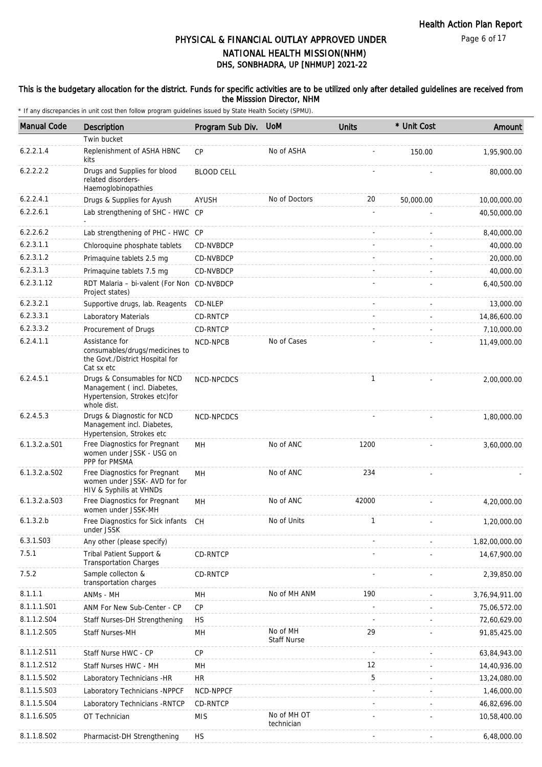#### This is the budgetary allocation for the district. Funds for specific activities are to be utilized only after detailed guidelines are received from the Misssion Director, NHM

| <b>Manual Code</b> | Description                                                                                                | Program Sub Div.  | <b>UoM</b>                     | <b>Units</b> | * Unit Cost | Amount         |
|--------------------|------------------------------------------------------------------------------------------------------------|-------------------|--------------------------------|--------------|-------------|----------------|
|                    | Twin bucket                                                                                                |                   |                                |              |             |                |
| 6.2.2.1.4          | Replenishment of ASHA HBNC<br>kits                                                                         | <b>CP</b>         | No of ASHA                     |              | 150.00      | 1,95,900.00    |
| 6.2.2.2.2          | Drugs and Supplies for blood<br>related disorders-<br>Haemoglobinopathies                                  | <b>BLOOD CELL</b> |                                |              |             | 80,000.00      |
| 6.2.2.4.1          | Drugs & Supplies for Ayush                                                                                 | AYUSH             | No of Doctors                  | 20           | 50,000.00   | 10,00,000.00   |
| 6.2.2.6.1          | Lab strengthening of SHC - HWC CP                                                                          |                   |                                |              |             | 40,50,000.00   |
| 6.2.2.6.2          | Lab strengthening of PHC - HWC CP                                                                          |                   |                                |              |             | 8,40,000.00    |
| 6.2.3.1.1          | Chloroquine phosphate tablets                                                                              | CD-NVBDCP         |                                |              |             | 40,000.00      |
| 6.2.3.1.2          | Primaquine tablets 2.5 mg                                                                                  | CD-NVBDCP         |                                |              |             | 20,000.00      |
| 6.2.3.1.3          | Primaquine tablets 7.5 mg                                                                                  | CD-NVBDCP         |                                |              |             | 40,000.00      |
| 6.2.3.1.12         | RDT Malaria - bi-valent (For Non CD-NVBDCP<br>Project states)                                              |                   |                                |              |             | 6,40,500.00    |
| 6.2.3.2.1          | Supportive drugs, lab. Reagents                                                                            | CD-NLEP           |                                |              |             | 13,000.00      |
| 6.2.3.3.1          | Laboratory Materials                                                                                       | CD-RNTCP          |                                |              |             | 14,86,600.00   |
| 6.2.3.3.2          | Procurement of Drugs                                                                                       | CD-RNTCP          |                                |              |             | 7,10,000.00    |
| 6.2.4.1.1          | Assistance for<br>consumables/drugs/medicines to<br>the Govt./District Hospital for<br>Cat sx etc          | NCD-NPCB          | No of Cases                    |              |             | 11,49,000.00   |
| 6.2.4.5.1          | Drugs & Consumables for NCD<br>Management (incl. Diabetes,<br>Hypertension, Strokes etc)for<br>whole dist. | NCD-NPCDCS        |                                | $\mathbf{1}$ |             | 2,00,000.00    |
| 6.2.4.5.3          | Drugs & Diagnostic for NCD<br>Management incl. Diabetes,<br>Hypertension, Strokes etc                      | NCD-NPCDCS        |                                |              |             | 1,80,000.00    |
| $6.1.3.2.a.$ S01   | Free Diagnostics for Pregnant<br>women under JSSK - USG on<br>PPP for PMSMA                                | MH                | No of ANC                      | 1200         |             | 3,60,000.00    |
| $6.1.3.2.a.$ SO2   | Free Diagnostics for Pregnant<br>women under JSSK-AVD for for<br>HIV & Syphilis at VHNDs                   | MН                | No of ANC                      | 234          |             |                |
| $6.1.3.2.a.$ SO3   | Free Diagnostics for Pregnant<br>women under JSSK-MH                                                       | MН                | No of ANC                      | 42000        |             | 4,20,000.00    |
| 6.1.3.2.b          | Free Diagnostics for Sick infants CH<br>under JSSK                                                         |                   | No of Units                    | 1            |             | 1,20,000.00    |
| 6.3.1.S03          | Any other (please specify)                                                                                 |                   |                                |              |             | 1,82,00,000.00 |
| 7.5.1              | Tribal Patient Support &<br><b>Transportation Charges</b>                                                  | <b>CD-RNTCP</b>   |                                |              |             | 14,67,900.00   |
| 7.5.2              | Sample collecton &<br>transportation charges                                                               | CD-RNTCP          |                                |              |             | 2,39,850.00    |
| 8.1.1.1            | ANMs - MH                                                                                                  | MН                | No of MH ANM                   | 190          |             | 3,76,94,911.00 |
| 8.1.1.1.S01        | ANM For New Sub-Center - CP                                                                                | CP                |                                |              |             | 75,06,572.00   |
| 8.1.1.2.S04        | Staff Nurses-DH Strengthening                                                                              | <b>HS</b>         |                                |              |             | 72,60,629.00   |
| 8.1.1.2.S05        | Staff Nurses-MH                                                                                            | MH                | No of MH<br><b>Staff Nurse</b> | 29           |             | 91,85,425.00   |
| 8.1.1.2.S11        | Staff Nurse HWC - CP                                                                                       | <b>CP</b>         |                                |              |             | 63,84,943.00   |
| 8.1.1.2.S12        | Staff Nurses HWC - MH                                                                                      | MН                |                                | 12           |             | 14,40,936.00   |
| 8.1.1.5.S02        | Laboratory Technicians -HR                                                                                 | <b>HR</b>         |                                | 5            |             | 13,24,080.00   |
| 8.1.1.5.S03        | Laboratory Technicians -NPPCF                                                                              | NCD-NPPCF         |                                |              |             | 1,46,000.00    |
| 8.1.1.5.S04        | Laboratory Technicians - RNTCP                                                                             | CD-RNTCP          |                                |              |             | 46,82,696.00   |
| 8.1.1.6.S05        | OT Technician                                                                                              | <b>MIS</b>        | No of MH OT<br>technician      |              |             | 10,58,400.00   |
| 8.1.1.8.S02        | Pharmacist-DH Strengthening                                                                                | <b>HS</b>         |                                |              |             | 6,48,000.00    |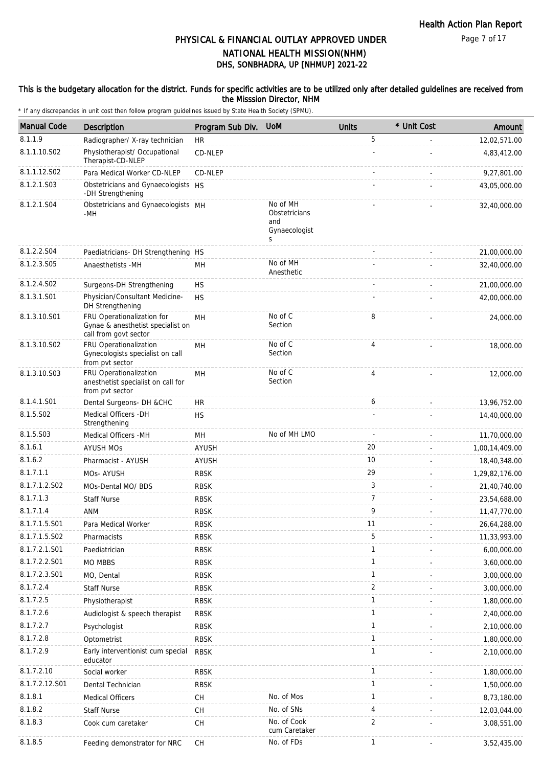#### This is the budgetary allocation for the district. Funds for specific activities are to be utilized only after detailed guidelines are received from the Misssion Director, NHM

| <b>Manual Code</b> | <b>Description</b>                                                                       | Program Sub Div. | <b>UoM</b>                                             | <b>Units</b>   | * Unit Cost | Amount         |
|--------------------|------------------------------------------------------------------------------------------|------------------|--------------------------------------------------------|----------------|-------------|----------------|
| 8.1.1.9            | Radiographer/ X-ray technician                                                           | <b>HR</b>        |                                                        | 5              |             | 12,02,571.00   |
| 8.1.1.10.S02       | Physiotherapist/ Occupational<br>Therapist-CD-NLEP                                       | CD-NLEP          |                                                        |                |             | 4,83,412.00    |
| 8.1.1.12.S02       | Para Medical Worker CD-NLEP                                                              | CD-NLEP          |                                                        |                |             | 9,27,801.00    |
| 8.1.2.1.S03        | Obstetricians and Gynaecologists HS<br>-DH Strengthening                                 |                  |                                                        |                |             | 43,05,000.00   |
| 8.1.2.1.S04        | Obstetricians and Gynaecologists MH<br>-MH                                               |                  | No of MH<br>Obstetricians<br>and<br>Gynaecologist<br>S |                |             | 32,40,000.00   |
| 8.1.2.2.S04        | Paediatricians- DH Strengthening HS                                                      |                  |                                                        |                |             | 21,00,000.00   |
| 8.1.2.3.S05        | Anaesthetists -MH                                                                        | MH               | No of MH<br>Anesthetic                                 |                |             | 32,40,000.00   |
| 8.1.2.4.S02        | Surgeons-DH Strengthening                                                                | <b>HS</b>        |                                                        |                |             | 21,00,000.00   |
| 8.1.3.1.S01        | Physician/Consultant Medicine-<br>DH Strengthening                                       | <b>HS</b>        |                                                        |                |             | 42,00,000.00   |
| 8.1.3.10.S01       | FRU Operationalization for<br>Gynae & anesthetist specialist on<br>call from govt sector | MH               | No of C<br>Section                                     | 8              |             | 24,000.00      |
| 8.1.3.10.S02       | FRU Operationalization<br>Gynecologists specialist on call<br>from pvt sector            | MH               | No of C<br>Section                                     | 4              |             | 18,000.00      |
| 8.1.3.10.S03       | FRU Operationalization<br>anesthetist specialist on call for<br>from pvt sector          | MH               | No of C<br>Section                                     | $\overline{4}$ |             | 12,000.00      |
| 8.1.4.1.S01        | Dental Surgeons- DH &CHC                                                                 | <b>HR</b>        |                                                        | 6              |             | 13,96,752.00   |
| 8.1.5.S02          | Medical Officers - DH<br>Strengthening                                                   | <b>HS</b>        |                                                        |                |             | 14,40,000.00   |
| 8.1.5.S03          | Medical Officers - MH                                                                    | MH               | No of MH LMO                                           |                |             | 11,70,000.00   |
| 8.1.6.1            | <b>AYUSH MOS</b>                                                                         | <b>AYUSH</b>     |                                                        | 20             |             | 1,00,14,409.00 |
| 8.1.6.2            | Pharmacist - AYUSH                                                                       | <b>AYUSH</b>     |                                                        | 10             |             | 18,40,348.00   |
| 8.1.7.1.1          | MOs- AYUSH                                                                               | <b>RBSK</b>      |                                                        | 29             |             | 1,29,82,176.00 |
| 8.1.7.1.2.S02      | MOs-Dental MO/ BDS                                                                       | <b>RBSK</b>      |                                                        | 3              |             | 21,40,740.00   |
| 8.1.7.1.3          | <b>Staff Nurse</b>                                                                       | <b>RBSK</b>      |                                                        | $\overline{7}$ |             | 23,54,688.00   |
| 8.1.7.1.4          | ANM                                                                                      | <b>RBSK</b>      |                                                        | 9              |             | 11,47,770.00   |
| 8.1.7.1.5.S01      | Para Medical Worker                                                                      | <b>RBSK</b>      |                                                        | 11             |             | 26,64,288.00   |
| 8.1.7.1.5.S02      | Pharmacists                                                                              | <b>RBSK</b>      |                                                        | 5              |             | 11,33,993.00   |
| 8.1.7.2.1.S01      | Paediatrician                                                                            | <b>RBSK</b>      |                                                        | $\mathbf{1}$   |             | 6,00,000.00    |
| 8.1.7.2.2.S01      | MO MBBS                                                                                  | <b>RBSK</b>      |                                                        | 1              |             | 3,60,000.00    |
| 8.1.7.2.3.S01      | MO, Dental                                                                               | <b>RBSK</b>      |                                                        | $\mathbf{1}$   |             | 3,00,000.00    |
| 8.1.7.2.4          | <b>Staff Nurse</b>                                                                       | <b>RBSK</b>      |                                                        | $\overline{2}$ |             | 3,00,000.00    |
| 8.1.7.2.5          | Physiotherapist                                                                          | <b>RBSK</b>      |                                                        | 1              |             | 1,80,000.00    |
| 8.1.7.2.6          | Audiologist & speech therapist                                                           | <b>RBSK</b>      |                                                        | $\mathbf{1}$   |             | 2,40,000.00    |
| 8.1.7.2.7          | Psychologist                                                                             | <b>RBSK</b>      |                                                        | $\mathbf{1}$   |             | 2,10,000.00    |
| 8.1.7.2.8          | Optometrist                                                                              | <b>RBSK</b>      |                                                        | 1              |             | 1,80,000.00    |
| 8.1.7.2.9          | Early interventionist cum special<br>educator                                            | <b>RBSK</b>      |                                                        | $\mathbf{1}$   |             | 2,10,000.00    |
| 8.1.7.2.10         | Social worker                                                                            | <b>RBSK</b>      |                                                        | 1              |             | 1,80,000.00    |
| 8.1.7.2.12.S01     | Dental Technician                                                                        | <b>RBSK</b>      |                                                        | $\mathbf{1}$   |             | 1,50,000.00    |
| 8.1.8.1            | Medical Officers                                                                         | CH               | No. of Mos                                             | $\mathbf{1}$   |             | 8,73,180.00    |
| 8.1.8.2            | <b>Staff Nurse</b>                                                                       | СH               | No. of SNs                                             | 4              |             | 12,03,044.00   |
| 8.1.8.3            | Cook cum caretaker                                                                       | CH               | No. of Cook<br>cum Caretaker                           | $\overline{2}$ |             | 3,08,551.00    |
| 8.1.8.5            | Feeding demonstrator for NRC                                                             | CH               | No. of FDs                                             | 1              |             | 3,52,435.00    |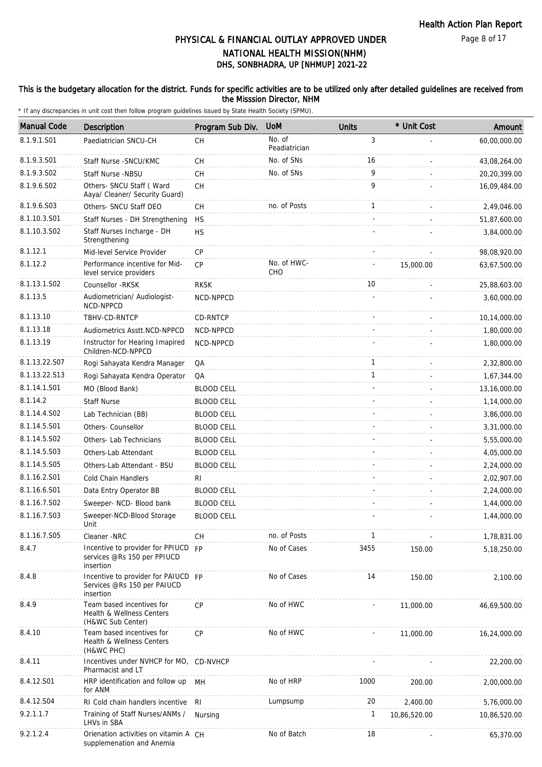#### This is the budgetary allocation for the district. Funds for specific activities are to be utilized only after detailed guidelines are received from the Misssion Director, NHM

| <b>Manual Code</b> | Description                                                                     | Program Sub Div.  | <b>UoM</b>              | Units          | * Unit Cost  | Amount       |
|--------------------|---------------------------------------------------------------------------------|-------------------|-------------------------|----------------|--------------|--------------|
| 8.1.9.1.S01        | Paediatrician SNCU-CH                                                           | СH                | No. of<br>Peadiatrician | $\mathfrak{Z}$ |              | 60,00,000.00 |
| 8.1.9.3.S01        | Staff Nurse - SNCU/KMC                                                          | <b>CH</b>         | No. of SNs              | 16             |              | 43,08,264.00 |
| 8.1.9.3.SO2        | Staff Nurse -NBSU                                                               | СH                | No. of SNs              | 9              |              | 20,20,399.00 |
| 8.1.9.6.SO2        | Others- SNCU Staff (Ward<br>Aaya/ Cleaner/ Security Guard)                      | <b>CH</b>         |                         | 9              |              | 16,09,484.00 |
| 8.1.9.6.S03        | Others- SNCU Staff DEO                                                          | СH                | no. of Posts            | 1              |              | 2,49,046.00  |
| 8.1.10.3.S01       | Staff Nurses - DH Strengthening                                                 | HS                |                         |                |              | 51,87,600.00 |
| 8.1.10.3.S02       | Staff Nurses Incharge - DH<br>Strengthening                                     | <b>HS</b>         |                         |                |              | 3,84,000.00  |
| 8.1.12.1           | Mid-level Service Provider                                                      | CP                |                         |                |              | 98,08,920.00 |
| 8.1.12.2           | Performance incentive for Mid-<br>level service providers                       | CP                | No. of HWC-<br>CHO      |                | 15,000.00    | 63,67,500.00 |
| 8.1.13.1.S02       | Counsellor -RKSK                                                                | <b>RKSK</b>       |                         | 10             |              | 25,88,603.00 |
| 8.1.13.5           | Audiometrician/ Audiologist-<br>NCD-NPPCD                                       | NCD-NPPCD         |                         |                |              | 3.60.000.00  |
| 8.1.13.10          | TBHV-CD-RNTCP                                                                   | CD-RNTCP          |                         |                |              | 10,14,000.00 |
| 8.1.13.18          | Audiometrics Asstt.NCD-NPPCD                                                    | NCD-NPPCD         |                         |                |              | 1,80,000.00  |
| 8.1.13.19          | Instructor for Hearing Imapired<br>Children-NCD-NPPCD                           | NCD-NPPCD         |                         |                |              | 1,80,000.00  |
| 8.1.13.22.S07      | Rogi Sahayata Kendra Manager                                                    | QA                |                         | $\mathbf{1}$   |              | 2,32,800.00  |
| 8.1.13.22.S13      | Rogi Sahayata Kendra Operator                                                   | QA                |                         | 1              |              | 1,67,344.00  |
| 8.1.14.1.S01       | MO (Blood Bank)                                                                 | <b>BLOOD CELL</b> |                         |                |              | 13,16,000.00 |
| 8.1.14.2           | <b>Staff Nurse</b>                                                              | <b>BLOOD CELL</b> |                         |                |              | 1,14,000.00  |
| 8.1.14.4.S02       | Lab Technician (BB)                                                             | <b>BLOOD CELL</b> |                         |                |              | 3,86,000.00  |
| 8.1.14.5.S01       | Others- Counsellor                                                              | <b>BLOOD CELL</b> |                         |                |              | 3,31,000.00  |
| 8.1.14.5.S02       | Others- Lab Technicians                                                         | <b>BLOOD CELL</b> |                         |                |              | 5,55,000.00  |
| 8.1.14.5.S03       | Others-Lab Attendant                                                            | <b>BLOOD CELL</b> |                         |                |              | 4,05,000.00  |
| 8.1.14.5.S05       | Others-Lab Attendant - BSU                                                      | <b>BLOOD CELL</b> |                         |                |              | 2,24,000.00  |
| 8.1.16.2.S01       | Cold Chain Handlers                                                             | RI                |                         |                |              | 2,02,907.00  |
| 8.1.16.6.S01       | Data Entry Operator BB                                                          | <b>BLOOD CELL</b> |                         |                |              | 2,24,000.00  |
| 8.1.16.7.S02       | Sweeper- NCD- Blood bank                                                        | <b>BLOOD CELL</b> |                         |                |              | 1,44,000.00  |
| 8.1.16.7.S03       | Sweeper-NCD-Blood Storage<br>Unit                                               | <b>BLOOD CELL</b> |                         |                |              | 1,44,000.00  |
| 8.1.16.7.S05       | Cleaner -NRC                                                                    | <b>CH</b>         | no. of Posts            | 1              |              | 1,78,831.00  |
| 8.4.7              | Incentive to provider for PPIUCD FP<br>services @Rs 150 per PPIUCD<br>insertion |                   | No of Cases             | 3455           | 150.00       | 5,18,250.00  |
| 8.4.8              | Incentive to provider for PAIUCD FP<br>Services @Rs 150 per PAIUCD<br>insertion |                   | No of Cases             | 14             | 150.00       | 2,100.00     |
| 8.4.9              | Team based incentives for<br>Health & Wellness Centers<br>(H&WC Sub Center)     | <b>CP</b>         | No of HWC               |                | 11,000.00    | 46,69,500.00 |
| 8.4.10             | Team based incentives for<br>Health & Wellness Centers<br>(H&WC PHC)            | CP                | No of HWC               |                | 11,000.00    | 16,24,000.00 |
| 8.4.11             | Incentives under NVHCP for MO, CD-NVHCP<br>Pharmacist and LT                    |                   |                         |                |              | 22,200.00    |
| 8.4.12.S01         | HRP identification and follow up<br>for ANM                                     | MН                | No of HRP               | 1000           | 200.00       | 2,00,000.00  |
| 8.4.12.S04         | RI Cold chain handlers incentive RI                                             |                   | Lumpsump                | 20             | 2,400.00     | 5,76,000.00  |
| 9.2.1.1.7          | Training of Staff Nurses/ANMs /<br>LHVs in SBA                                  | Nursing           |                         | 1              | 10,86,520.00 | 10,86,520.00 |
| 9.2.1.2.4          | Orienation activities on vitamin A CH<br>supplemenation and Anemia              |                   | No of Batch             | 18             |              | 65,370.00    |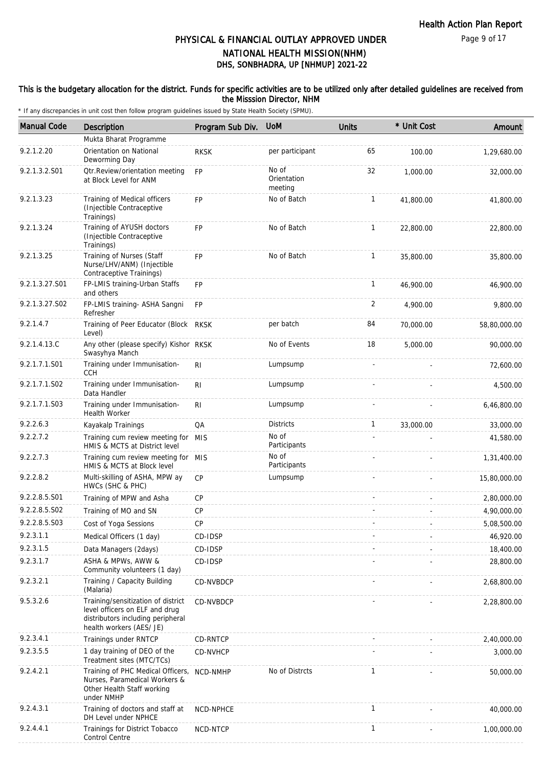#### This is the budgetary allocation for the district. Funds for specific activities are to be utilized only after detailed guidelines are received from the Misssion Director, NHM

| <b>Manual Code</b> | Description                                                                                                                           | Program Sub Div. | <b>UoM</b>                      | <b>Units</b> | * Unit Cost | Amount       |
|--------------------|---------------------------------------------------------------------------------------------------------------------------------------|------------------|---------------------------------|--------------|-------------|--------------|
|                    | Mukta Bharat Programme                                                                                                                |                  |                                 |              |             |              |
| 9.2.1.2.20         | Orientation on National<br>Deworming Day                                                                                              | <b>RKSK</b>      | per participant                 | 65           | 100.00      | 1,29,680.00  |
| 9.2.1.3.2.S01      | Otr.Review/orientation meeting<br>at Block Level for ANM                                                                              | FP               | No of<br>Orientation<br>meeting | 32           | 1,000.00    | 32,000.00    |
| 9.2.1.3.23         | Training of Medical officers<br>(Injectible Contraceptive<br>Trainings)                                                               | <b>FP</b>        | No of Batch                     | $\mathbf{1}$ | 41,800.00   | 41,800.00    |
| 9.2.1.3.24         | Training of AYUSH doctors<br>(Injectible Contraceptive<br>Trainings)                                                                  | FP               | No of Batch                     | $\mathbf{1}$ | 22,800.00   | 22,800.00    |
| 9.2.1.3.25         | Training of Nurses (Staff<br>Nurse/LHV/ANM) (Injectible<br>Contraceptive Trainings)                                                   | <b>FP</b>        | No of Batch                     | $\mathbf{1}$ | 35,800.00   | 35,800.00    |
| 9.2.1.3.27.S01     | FP-LMIS training-Urban Staffs<br>and others                                                                                           | FP               |                                 | $\mathbf{1}$ | 46,900.00   | 46,900.00    |
| 9.2.1.3.27.S02     | FP-LMIS training- ASHA Sangni<br>Refresher                                                                                            | <b>FP</b>        |                                 | 2            | 4,900.00    | 9,800.00     |
| 9.2.1.4.7          | Training of Peer Educator (Block RKSK<br>Level)                                                                                       |                  | per batch                       | 84           | 70,000.00   | 58,80,000.00 |
| 9.2.1.4.13.C       | Any other (please specify) Kishor RKSK<br>Swasyhya Manch                                                                              |                  | No of Events                    | 18           | 5,000.00    | 90,000.00    |
| 9.2.1.7.1.S01      | Training under Immunisation-<br><b>CCH</b>                                                                                            | <b>RI</b>        | Lumpsump                        |              |             | 72,600.00    |
| 9.2.1.7.1.S02      | Training under Immunisation-<br>Data Handler                                                                                          | RI.              | Lumpsump                        |              |             | 4,500.00     |
| 9.2.1.7.1.S03      | Training under Immunisation-<br>Health Worker                                                                                         | R <sub>l</sub>   | Lumpsump                        |              |             | 6,46,800.00  |
| 9.2.2.6.3          | Kayakalp Trainings                                                                                                                    | QA               | <b>Districts</b>                | $\mathbf{1}$ | 33,000.00   | 33,000.00    |
| 9.2.2.7.2          | Training cum review meeting for MIS<br>HMIS & MCTS at District level                                                                  |                  | No of<br>Participants           |              |             | 41,580.00    |
| 9.2.2.7.3          | Training cum review meeting for MIS<br>HMIS & MCTS at Block level                                                                     |                  | No of<br>Participants           |              |             | 1,31,400.00  |
| 9.2.2.8.2          | Multi-skilling of ASHA, MPW ay<br>HWCs (SHC & PHC)                                                                                    | <b>CP</b>        | Lumpsump                        |              |             | 15,80,000.00 |
| 9.2.2.8.5.S01      | Training of MPW and Asha                                                                                                              | CP               |                                 |              |             | 2,80,000.00  |
| 9.2.2.8.5.S02      | Training of MO and SN                                                                                                                 | CP               |                                 |              |             | 4,90,000.00  |
| 9.2.2.8.5.S03      | Cost of Yoga Sessions                                                                                                                 | <b>CP</b>        |                                 |              |             | 5,08,500.00  |
| 9.2.3.1.1          | Medical Officers (1 day)                                                                                                              | CD-IDSP          |                                 |              |             | 46,920.00    |
| 9.2.3.1.5          | Data Managers (2days)                                                                                                                 | CD-IDSP          |                                 |              |             | 18,400.00    |
| 9.2.3.1.7          | ASHA & MPWs, AWW &<br>Community volunteers (1 day)                                                                                    | CD-IDSP          |                                 |              |             | 28,800.00    |
| 9.2.3.2.1          | Training / Capacity Building<br>(Malaria)                                                                                             | CD-NVBDCP        |                                 |              |             | 2,68,800.00  |
| 9.5.3.2.6          | Training/sensitization of district<br>level officers on ELF and drug<br>distributors including peripheral<br>health workers (AES/ JE) | <b>CD-NVBDCP</b> |                                 |              |             | 2,28,800.00  |
| 9.2.3.4.1          | Trainings under RNTCP                                                                                                                 | CD-RNTCP         |                                 |              |             | 2,40,000.00  |
| 9.2.3.5.5          | 1 day training of DEO of the<br>Treatment sites (MTC/TCs)                                                                             | CD-NVHCP         |                                 |              |             | 3,000.00     |
| 9.2.4.2.1          | Training of PHC Medical Officers,<br>Nurses, Paramedical Workers &<br>Other Health Staff working<br>under NMHP                        | NCD-NMHP         | No of Distrcts                  | $\mathbf{1}$ |             | 50,000.00    |
| 9.2.4.3.1          | Training of doctors and staff at<br>DH Level under NPHCE                                                                              | NCD-NPHCE        |                                 | $\mathbf{1}$ |             | 40,000.00    |
| 9.2.4.4.1          | Trainings for District Tobacco<br>Control Centre                                                                                      | NCD-NTCP         |                                 | $\mathbf{1}$ |             | 1,00,000.00  |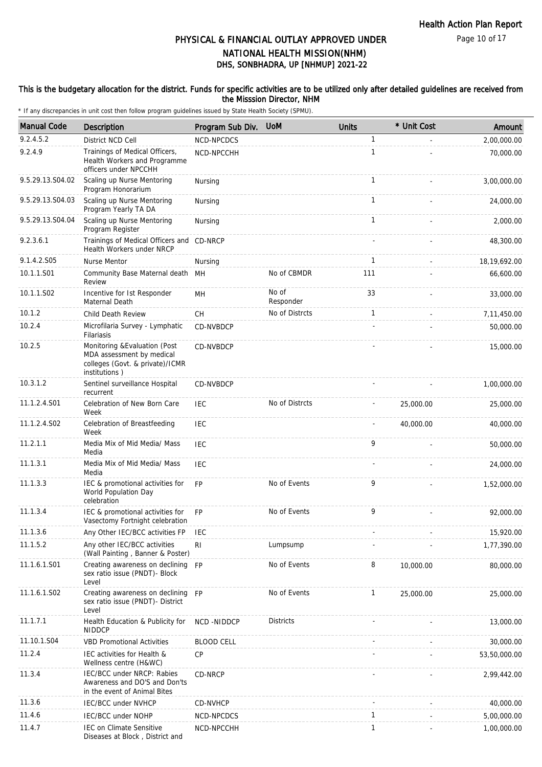Page 10 of 17

### DHS, SONBHADRA, UP [NHMUP] 2021-22 PHYSICAL & FINANCIAL OUTLAY APPROVED UNDER NATIONAL HEALTH MISSION(NHM)

#### This is the budgetary allocation for the district. Funds for specific activities are to be utilized only after detailed guidelines are received from the Misssion Director, NHM

| <b>Manual Code</b> | Description                                                                                                    | Program Sub Div.  | <b>UoM</b>         | <b>Units</b> | * Unit Cost | Amount       |
|--------------------|----------------------------------------------------------------------------------------------------------------|-------------------|--------------------|--------------|-------------|--------------|
| 9.2.4.5.2          | District NCD Cell                                                                                              | NCD-NPCDCS        |                    | $\mathbf{1}$ |             | 2,00,000.00  |
| 9.2.4.9            | Trainings of Medical Officers,<br>Health Workers and Programme<br>officers under NPCCHH                        | NCD-NPCCHH        |                    | $\mathbf{1}$ |             | 70,000.00    |
| 9.5.29.13.S04.02   | Scaling up Nurse Mentoring<br>Program Honorarium                                                               | Nursing           |                    | $\mathbf{1}$ |             | 3,00,000.00  |
| 9.5.29.13.S04.03   | Scaling up Nurse Mentoring<br>Program Yearly TA DA                                                             | Nursing           |                    | $\mathbf{1}$ |             | 24,000.00    |
| 9.5.29.13.S04.04   | Scaling up Nurse Mentoring<br>Program Register                                                                 | Nursing           |                    | 1            |             | 2,000.00     |
| 9.2.3.6.1          | Trainings of Medical Officers and CD-NRCP<br>Health Workers under NRCP                                         |                   |                    |              |             | 48,300.00    |
| 9.1.4.2.S05        | Nurse Mentor                                                                                                   | Nursing           |                    | $\mathbf{1}$ |             | 18,19,692.00 |
| 10.1.1.S01         | Community Base Maternal death MH<br>Review                                                                     |                   | No of CBMDR        | 111          |             | 66,600.00    |
| 10.1.1.S02         | Incentive for Ist Responder<br>Maternal Death                                                                  | MН                | No of<br>Responder | 33           |             | 33,000.00    |
| 10.1.2             | Child Death Review                                                                                             | <b>CH</b>         | No of Distrcts     | 1            |             | 7,11,450.00  |
| 10.2.4             | Microfilaria Survey - Lymphatic<br>Filariasis                                                                  | CD-NVBDCP         |                    |              |             | 50,000.00    |
| 10.2.5             | Monitoring & Evaluation (Post<br>MDA assessment by medical<br>colleges (Govt. & private)/ICMR<br>institutions) | CD-NVBDCP         |                    |              |             | 15,000.00    |
| 10.3.1.2           | Sentinel surveillance Hospital<br>recurrent                                                                    | CD-NVBDCP         |                    |              |             | 1,00,000.00  |
| 11.1.2.4.S01       | Celebration of New Born Care<br>Week                                                                           | <b>IEC</b>        | No of Distrcts     |              | 25,000.00   | 25,000.00    |
| 11.1.2.4.S02       | Celebration of Breastfeeding<br>Week                                                                           | <b>IEC</b>        |                    |              | 40,000.00   | 40,000.00    |
| 11.2.1.1           | Media Mix of Mid Media/ Mass<br>Media                                                                          | <b>IEC</b>        |                    | 9            |             | 50,000.00    |
| 11.1.3.1           | Media Mix of Mid Media/ Mass<br>Media                                                                          | IEC               |                    |              |             | 24,000.00    |
| 11.1.3.3           | IEC & promotional activities for<br>World Population Day<br>celebration                                        | <b>FP</b>         | No of Events       | 9            |             | 1,52,000.00  |
| 11.1.3.4           | IEC & promotional activities for<br>Vasectomy Fortnight celebration                                            | <b>FP</b>         | No of Events       | 9            |             | 92,000.00    |
| 11.1.3.6           | Any Other IEC/BCC activities FP                                                                                | <b>IEC</b>        |                    |              |             | 15,920.00    |
| 11.1.5.2           | Any other IEC/BCC activities<br>(Wall Painting, Banner & Poster)                                               | RI                | Lumpsump           |              |             | 1,77,390.00  |
| 11.1.6.1.S01       | Creating awareness on declining<br>sex ratio issue (PNDT)- Block<br>Level                                      | <b>FP</b>         | No of Events       | 8            | 10,000.00   | 80,000.00    |
| 11.1.6.1.S02       | Creating awareness on declining FP<br>sex ratio issue (PNDT)- District<br>Level                                |                   | No of Events       | $\mathbf{1}$ | 25,000.00   | 25,000.00    |
| 11.1.7.1           | Health Education & Publicity for<br><b>NIDDCP</b>                                                              | <b>NCD-NIDDCP</b> | <b>Districts</b>   |              |             | 13,000.00    |
| 11.10.1.S04        | <b>VBD Promotional Activities</b>                                                                              | <b>BLOOD CELL</b> |                    |              |             | 30,000.00    |
| 11.2.4             | IEC activities for Health &<br>Wellness centre (H&WC)                                                          | <b>CP</b>         |                    |              |             | 53,50,000.00 |
| 11.3.4             | IEC/BCC under NRCP: Rabies<br>Awareness and DO'S and Don'ts<br>in the event of Animal Bites                    | CD-NRCP           |                    |              |             | 2,99,442.00  |
| 11.3.6             | <b>IEC/BCC under NVHCP</b>                                                                                     | CD-NVHCP          |                    |              |             | 40,000.00    |
| 11.4.6             | IEC/BCC under NOHP                                                                                             | NCD-NPCDCS        |                    | 1            |             | 5,00,000.00  |
| 11.4.7             | IEC on Climate Sensitive<br>Diseases at Block, District and                                                    | NCD-NPCCHH        |                    | $\mathbf{1}$ |             | 1,00,000.00  |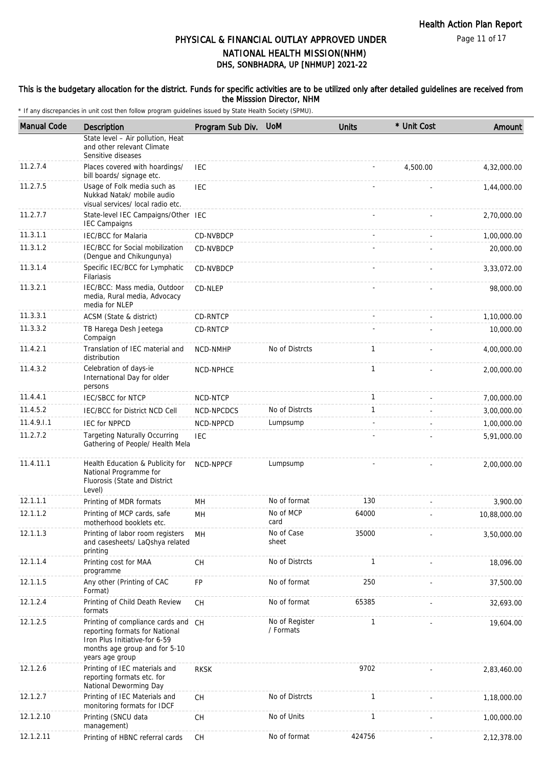#### This is the budgetary allocation for the district. Funds for specific activities are to be utilized only after detailed guidelines are received from the Misssion Director, NHM

| <b>Manual Code</b> | <b>Description</b>                                                                                                                                         | Program Sub Div. | <b>UoM</b>                  | <b>Units</b> | * Unit Cost | Amount       |
|--------------------|------------------------------------------------------------------------------------------------------------------------------------------------------------|------------------|-----------------------------|--------------|-------------|--------------|
|                    | State level - Air pollution, Heat<br>and other relevant Climate<br>Sensitive diseases                                                                      |                  |                             |              |             |              |
| 11.2.7.4           | Places covered with hoardings/<br>bill boards/ signage etc.                                                                                                | <b>IEC</b>       |                             |              | 4,500.00    | 4,32,000.00  |
| 11.2.7.5           | Usage of Folk media such as<br>Nukkad Natak/ mobile audio<br>visual services/ local radio etc.                                                             | <b>IEC</b>       |                             |              |             | 1,44,000.00  |
| 11.2.7.7           | State-level IEC Campaigns/Other IEC<br><b>IEC Campaigns</b>                                                                                                |                  |                             |              |             | 2,70,000.00  |
| 11.3.1.1           | <b>IEC/BCC for Malaria</b>                                                                                                                                 | CD-NVBDCP        |                             |              |             | 1,00,000.00  |
| 11.3.1.2           | IEC/BCC for Social mobilization<br>(Dengue and Chikungunya)                                                                                                | CD-NVBDCP        |                             |              |             | 20,000.00    |
| 11.3.1.4           | Specific IEC/BCC for Lymphatic<br><b>Filariasis</b>                                                                                                        | CD-NVBDCP        |                             |              |             | 3,33,072.00  |
| 11.3.2.1           | IEC/BCC: Mass media, Outdoor<br>media, Rural media, Advocacy<br>media for NLEP                                                                             | CD-NLEP          |                             |              |             | 98,000.00    |
| 11.3.3.1           | ACSM (State & district)                                                                                                                                    | <b>CD-RNTCP</b>  |                             |              |             | 1,10,000.00  |
| 11.3.3.2           | TB Harega Desh Jeetega<br>Compaign                                                                                                                         | <b>CD-RNTCP</b>  |                             |              |             | 10,000.00    |
| 11.4.2.1           | Translation of IEC material and<br>distribution                                                                                                            | NCD-NMHP         | No of Distrcts              | 1            |             | 4,00,000.00  |
| 11.4.3.2           | Celebration of days-ie<br>International Day for older<br>persons                                                                                           | NCD-NPHCE        |                             | $\mathbf{1}$ |             | 2,00,000.00  |
| 11.4.4.1           | <b>IEC/SBCC for NTCP</b>                                                                                                                                   | NCD-NTCP         |                             | $\mathbf{1}$ |             | 7,00,000.00  |
| 11.4.5.2           | IEC/BCC for District NCD Cell                                                                                                                              | NCD-NPCDCS       | No of Distrcts              | 1            |             | 3,00,000.00  |
| 11.4.9.1.1         | <b>IEC for NPPCD</b>                                                                                                                                       | NCD-NPPCD        | Lumpsump                    |              |             | 1,00,000.00  |
| 11.2.7.2           | <b>Targeting Naturally Occurring</b><br>Gathering of People/ Health Mela                                                                                   | <b>IEC</b>       |                             |              |             | 5,91,000.00  |
| 11.4.11.1          | Health Education & Publicity for<br>National Programme for<br>Fluorosis (State and District<br>Level)                                                      | NCD-NPPCF        | Lumpsump                    |              |             | 2,00,000.00  |
| 12.1.1.1           | Printing of MDR formats                                                                                                                                    | MН               | No of format                | 130          |             | 3,900.00     |
| 12.1.1.2           | Printing of MCP cards, safe<br>motherhood booklets etc.                                                                                                    | MН               | No of MCP<br>card           | 64000        |             | 10,88,000.00 |
| 12.1.1.3           | Printing of labor room registers<br>and casesheets/ LaQshya related<br>printing                                                                            | MН               | No of Case<br>sheet         | 35000        |             | 3,50,000.00  |
| 12.1.1.4           | Printing cost for MAA<br>programme                                                                                                                         | CH               | No of Distrcts              | $\mathbf{1}$ |             | 18,096.00    |
| 12.1.1.5           | Any other (Printing of CAC<br>Format)                                                                                                                      | FP               | No of format                | 250          |             | 37,500.00    |
| 12.1.2.4           | Printing of Child Death Review<br>formats                                                                                                                  | <b>CH</b>        | No of format                | 65385        |             | 32,693.00    |
| 12.1.2.5           | Printing of compliance cards and CH<br>reporting formats for National<br>Iron Plus Initiative-for 6-59<br>months age group and for 5-10<br>years age group |                  | No of Register<br>/ Formats | $\mathbf{1}$ |             | 19,604.00    |
| 12.1.2.6           | Printing of IEC materials and<br>reporting formats etc. for<br>National Deworming Day                                                                      | <b>RKSK</b>      |                             | 9702         |             | 2,83,460.00  |
| 12.1.2.7           | Printing of IEC Materials and<br>monitoring formats for IDCF                                                                                               | CH               | No of Distrcts              | $\mathbf{1}$ |             | 1,18,000.00  |
| 12.1.2.10          | Printing (SNCU data<br>management)                                                                                                                         | CH               | No of Units                 | $\mathbf{1}$ |             | 1,00,000.00  |
| 12.1.2.11          | Printing of HBNC referral cards                                                                                                                            | CH               | No of format                | 424756       |             | 2,12,378.00  |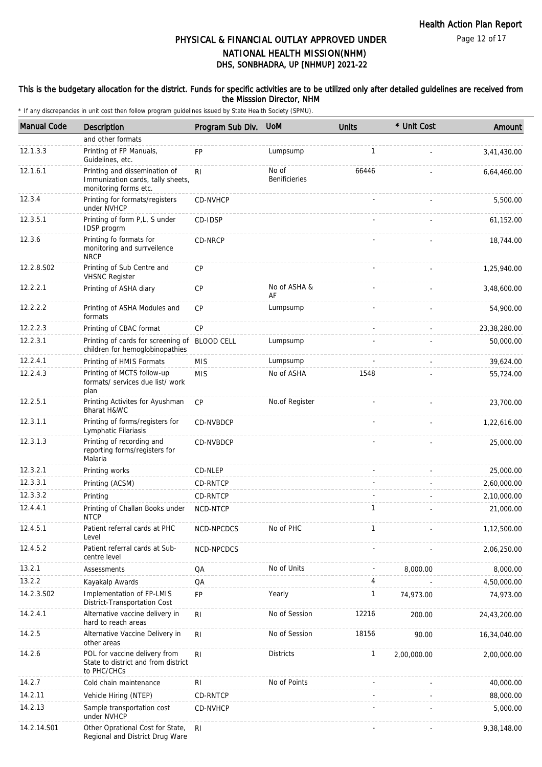#### This is the budgetary allocation for the district. Funds for specific activities are to be utilized only after detailed guidelines are received from the Misssion Director, NHM

| <b>Manual Code</b> | Description                                                                                 | Program Sub Div. | <b>UoM</b>                    | <b>Units</b> | * Unit Cost | Amount       |
|--------------------|---------------------------------------------------------------------------------------------|------------------|-------------------------------|--------------|-------------|--------------|
|                    | and other formats                                                                           |                  |                               |              |             |              |
| 12.1.3.3           | Printing of FP Manuals,<br>Guidelines, etc.                                                 | <b>FP</b>        | Lumpsump                      | 1            |             | 3,41,430.00  |
| 12.1.6.1           | Printing and dissemination of<br>Immunization cards, tally sheets,<br>monitoring forms etc. | R <sub>l</sub>   | No of<br><b>Benificieries</b> | 66446        |             | 6,64,460.00  |
| 12.3.4             | Printing for formats/registers<br>under NVHCP                                               | CD-NVHCP         |                               |              |             | 5,500.00     |
| 12.3.5.1           | Printing of form P,L, S under<br>IDSP progrm                                                | CD-IDSP          |                               |              |             | 61,152.00    |
| 12.3.6             | Printing fo formats for<br>monitoring and surrveilence<br><b>NRCP</b>                       | CD-NRCP          |                               |              |             | 18,744.00    |
| 12.2.8.S02         | Printing of Sub Centre and<br><b>VHSNC Register</b>                                         | CP               |                               |              |             | 1,25,940.00  |
| 12.2.2.1           | Printing of ASHA diary                                                                      | CP               | No of ASHA &<br>AF            |              |             | 3,48,600.00  |
| 12.2.2.2           | Printing of ASHA Modules and<br>formats                                                     | CP               | Lumpsump                      |              |             | 54,900.00    |
| 12.2.2.3           | Printing of CBAC format                                                                     | CP               |                               |              |             | 23,38,280.00 |
| 12.2.3.1           | Printing of cards for screening of BLOOD CELL<br>children for hemoglobinopathies            |                  | Lumpsump                      |              |             | 50,000.00    |
| 12.2.4.1           | Printing of HMIS Formats                                                                    | <b>MIS</b>       | Lumpsump                      |              |             | 39,624.00    |
| 12.2.4.3           | Printing of MCTS follow-up<br>formats/ services due list/ work<br>plan                      | <b>MIS</b>       | No of ASHA                    | 1548         |             | 55,724.00    |
| 12.2.5.1           | Printing Activites for Ayushman<br>Bharat H&WC                                              | CP               | No.of Register                |              |             | 23,700.00    |
| 12.3.1.1           | Printing of forms/registers for<br>Lymphatic Filariasis                                     | <b>CD-NVBDCP</b> |                               |              |             | 1,22,616.00  |
| 12.3.1.3           | Printing of recording and<br>reporting forms/registers for<br>Malaria                       | CD-NVBDCP        |                               |              |             | 25,000.00    |
| 12.3.2.1           | Printing works                                                                              | CD-NLEP          |                               |              |             | 25,000.00    |
| 12.3.3.1           | Printing (ACSM)                                                                             | CD-RNTCP         |                               |              |             | 2,60,000.00  |
| 12.3.3.2           | Printing                                                                                    | CD-RNTCP         |                               |              |             | 2,10,000.00  |
| 12.4.4.1           | Printing of Challan Books under<br><b>NTCP</b>                                              | NCD-NTCP         |                               | $\mathbf{1}$ |             | 21,000.00    |
| 12.4.5.1           | Patient referral cards at PHC<br>Level                                                      | NCD-NPCDCS       | No of PHC                     |              |             | 1,12,500.00  |
| 12.4.5.2           | Patient referral cards at Sub-<br>centre level                                              | NCD-NPCDCS       |                               |              |             | 2,06,250.00  |
| 13.2.1             | Assessments                                                                                 | QA               | No of Units                   |              | 8,000.00    | 8,000.00     |
| 13.2.2             | Kayakalp Awards                                                                             | QA               |                               | 4            |             | 4,50,000.00  |
| 14.2.3.S02         | Implementation of FP-LMIS<br>District-Transportation Cost                                   | FP               | Yearly                        | $\mathbf{1}$ | 74,973.00   | 74,973.00    |
| 14.2.4.1           | Alternative vaccine delivery in<br>hard to reach areas                                      | R <sub>l</sub>   | No of Session                 | 12216        | 200.00      | 24,43,200.00 |
| 14.2.5             | Alternative Vaccine Delivery in<br>other areas                                              | R <sub>l</sub>   | No of Session                 | 18156        | 90.00       | 16,34,040.00 |
| 14.2.6             | POL for vaccine delivery from<br>State to district and from district<br>to PHC/CHCs         | <b>RI</b>        | <b>Districts</b>              | $\mathbf{1}$ | 2,00,000.00 | 2,00,000.00  |
| 14.2.7             | Cold chain maintenance                                                                      | <b>RI</b>        | No of Points                  |              |             | 40,000.00    |
| 14.2.11            | Vehicle Hiring (NTEP)                                                                       | CD-RNTCP         |                               |              |             | 88,000.00    |
| 14.2.13            | Sample transportation cost<br>under NVHCP                                                   | CD-NVHCP         |                               |              |             | 5,000.00     |
| 14.2.14.S01        | Other Oprational Cost for State,<br>Regional and District Drug Ware                         | <b>RI</b>        |                               |              |             | 9,38,148.00  |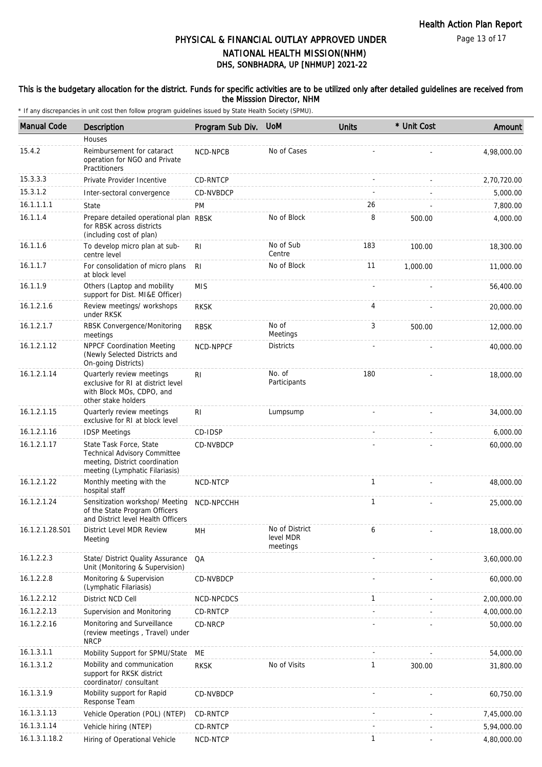Page 13 of 17

### DHS, SONBHADRA, UP [NHMUP] 2021-22 PHYSICAL & FINANCIAL OUTLAY APPROVED UNDER NATIONAL HEALTH MISSION(NHM)

#### This is the budgetary allocation for the district. Funds for specific activities are to be utilized only after detailed guidelines are received from the Misssion Director, NHM

| <b>Manual Code</b> | <b>Description</b>                                                                                                          | Program Sub Div. | <b>UoM</b>                              | <b>Units</b> | * Unit Cost | Amount      |
|--------------------|-----------------------------------------------------------------------------------------------------------------------------|------------------|-----------------------------------------|--------------|-------------|-------------|
|                    | Houses                                                                                                                      |                  |                                         |              |             |             |
| 15.4.2             | Reimbursement for cataract<br>operation for NGO and Private<br>Practitioners                                                | NCD-NPCB         | No of Cases                             |              |             | 4,98,000.00 |
| 15.3.3.3           | Private Provider Incentive                                                                                                  | CD-RNTCP         |                                         |              |             | 2,70,720.00 |
| 15.3.1.2           | Inter-sectoral convergence                                                                                                  | CD-NVBDCP        |                                         |              |             | 5,000.00    |
| 16.1.1.1.1         | State                                                                                                                       | PM               |                                         | 26           |             | 7,800.00    |
| 16.1.1.4           | Prepare detailed operational plan RBSK<br>for RBSK across districts<br>(including cost of plan)                             |                  | No of Block                             | 8            | 500.00      | 4,000.00    |
| 16.1.1.6           | To develop micro plan at sub-<br>centre level                                                                               | RI               | No of Sub<br>Centre                     | 183          | 100.00      | 18,300.00   |
| 16.1.1.7           | For consolidation of micro plans<br>at block level                                                                          | RI               | No of Block                             | 11           | 1,000.00    | 11,000.00   |
| 16.1.1.9           | Others (Laptop and mobility<br>support for Dist. MI&E Officer)                                                              | <b>MIS</b>       |                                         |              |             | 56,400.00   |
| 16.1.2.1.6         | Review meetings/ workshops<br>under RKSK                                                                                    | <b>RKSK</b>      |                                         | 4            |             | 20,000.00   |
| 16.1.2.1.7         | RBSK Convergence/Monitoring<br>meetings                                                                                     | <b>RBSK</b>      | No of<br>Meetings                       | 3            | 500.00      | 12,000.00   |
| 16.1.2.1.12        | NPPCF Coordination Meeting<br>(Newly Selected Districts and<br>On-going Districts)                                          | NCD-NPPCF        | <b>Districts</b>                        |              |             | 40,000.00   |
| 16.1.2.1.14        | Quarterly review meetings<br>exclusive for RI at district level<br>with Block MOs, CDPO, and<br>other stake holders         | RI.              | No. of<br>Participants                  | 180          |             | 18,000.00   |
| 16.1.2.1.15        | Quarterly review meetings<br>exclusive for RI at block level                                                                | R <sub>l</sub>   | Lumpsump                                |              |             | 34,000.00   |
| 16.1.2.1.16        | <b>IDSP Meetings</b>                                                                                                        | CD-IDSP          |                                         |              |             | 6,000.00    |
| 16.1.2.1.17        | State Task Force, State<br>Technical Advisory Committee<br>meeting, District coordination<br>meeting (Lymphatic Filariasis) | CD-NVBDCP        |                                         |              |             | 60,000.00   |
| 16.1.2.1.22        | Monthly meeting with the<br>hospital staff                                                                                  | NCD-NTCP         |                                         | $\mathbf{1}$ |             | 48,000.00   |
| 16.1.2.1.24        | Sensitization workshop/ Meeting<br>of the State Program Officers<br>and District level Health Officers                      | NCD-NPCCHH       |                                         | $\mathbf{1}$ |             | 25,000.00   |
| 16.1.2.1.28.S01    | District Level MDR Review<br>Meeting                                                                                        | MН               | No of District<br>level MDR<br>meetings | 6            |             | 18,000.00   |
| 16.1.2.2.3         | State/ District Quality Assurance<br>Unit (Monitoring & Supervision)                                                        | QA               |                                         |              |             | 3,60,000.00 |
| 16.1.2.2.8         | Monitoring & Supervision<br>(Lymphatic Filariasis)                                                                          | CD-NVBDCP        |                                         |              |             | 60,000.00   |
| 16.1.2.2.12        | District NCD Cell                                                                                                           | NCD-NPCDCS       |                                         | $\mathbf{1}$ |             | 2,00,000.00 |
| 16.1.2.2.13        | Supervision and Monitoring                                                                                                  | CD-RNTCP         |                                         |              |             | 4,00,000.00 |
| 16.1.2.2.16        | Monitoring and Surveillance<br>(review meetings, Travel) under<br><b>NRCP</b>                                               | CD-NRCP          |                                         |              |             | 50,000.00   |
| 16.1.3.1.1         | Mobility Support for SPMU/State                                                                                             | ME               |                                         |              |             | 54,000.00   |
| 16.1.3.1.2         | Mobility and communication<br>support for RKSK district<br>coordinator/consultant                                           | <b>RKSK</b>      | No of Visits                            | $\mathbf{1}$ | 300.00      | 31,800.00   |
| 16.1.3.1.9         | Mobility support for Rapid<br>Response Team                                                                                 | CD-NVBDCP        |                                         |              |             | 60,750.00   |
| 16.1.3.1.13        | Vehicle Operation (POL) (NTEP)                                                                                              | CD-RNTCP         |                                         |              |             | 7,45,000.00 |
| 16.1.3.1.14        | Vehicle hiring (NTEP)                                                                                                       | CD-RNTCP         |                                         |              |             | 5,94,000.00 |
| 16.1.3.1.18.2      | Hiring of Operational Vehicle                                                                                               | NCD-NTCP         |                                         | 1            |             | 4,80,000.00 |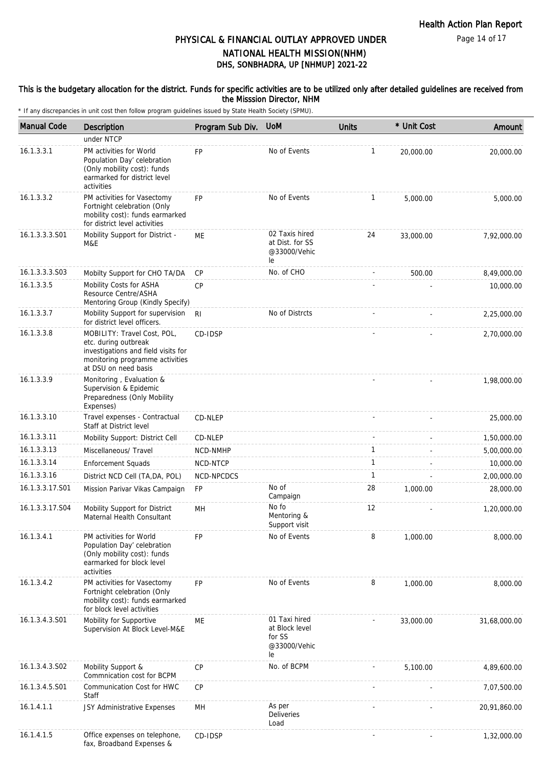#### This is the budgetary allocation for the district. Funds for specific activities are to be utilized only after detailed guidelines are received from the Misssion Director, NHM

| <b>Manual Code</b> | Description                                                                                                                                           | Program Sub Div. | <b>UoM</b>                                                      | <b>Units</b> | * Unit Cost | Amount       |
|--------------------|-------------------------------------------------------------------------------------------------------------------------------------------------------|------------------|-----------------------------------------------------------------|--------------|-------------|--------------|
|                    | under NTCP                                                                                                                                            |                  |                                                                 |              |             |              |
| 16.1.3.3.1         | PM activities for World<br>Population Day' celebration<br>(Only mobility cost): funds<br>earmarked for district level<br>activities                   | <b>FP</b>        | No of Events                                                    | $\mathbf{1}$ | 20,000.00   | 20,000.00    |
| 16.1.3.3.2         | PM activities for Vasectomy<br>Fortnight celebration (Only<br>mobility cost): funds earmarked<br>for district level activities                        | <b>FP</b>        | No of Events                                                    | 1            | 5,000.00    | 5,000.00     |
| 16.1.3.3.3.S01     | Mobility Support for District -<br>M&E                                                                                                                | МE               | 02 Taxis hired<br>at Dist. for SS<br>@33000/Vehic<br>le         | 24           | 33,000.00   | 7,92,000.00  |
| 16.1.3.3.3.S03     | Mobilty Support for CHO TA/DA                                                                                                                         | <b>CP</b>        | No. of CHO                                                      |              | 500.00      | 8,49,000.00  |
| 16.1.3.3.5         | Mobility Costs for ASHA<br>Resource Centre/ASHA<br>Mentoring Group (Kindly Specify)                                                                   | <b>CP</b>        |                                                                 |              |             | 10,000.00    |
| 16.1.3.3.7         | Mobility Support for supervision<br>for district level officers.                                                                                      | R <sub>l</sub>   | No of Distrcts                                                  |              |             | 2,25,000.00  |
| 16.1.3.3.8         | MOBILITY: Travel Cost, POL,<br>etc. during outbreak<br>investigations and field visits for<br>monitoring programme activities<br>at DSU on need basis | CD-IDSP          |                                                                 |              |             | 2,70,000.00  |
| 16.1.3.3.9         | Monitoring, Evaluation &<br>Supervision & Epidemic<br>Preparedness (Only Mobility<br>Expenses)                                                        |                  |                                                                 |              |             | 1,98,000.00  |
| 16.1.3.3.10        | Travel expenses - Contractual<br>Staff at District level                                                                                              | CD-NLEP          |                                                                 |              |             | 25,000.00    |
| 16.1.3.3.11        | Mobility Support: District Cell                                                                                                                       | CD-NLEP          |                                                                 |              |             | 1,50,000.00  |
| 16.1.3.3.13        | Miscellaneous/ Travel                                                                                                                                 | NCD-NMHP         |                                                                 | $\mathbf{1}$ |             | 5,00,000.00  |
| 16.1.3.3.14        | <b>Enforcement Squads</b>                                                                                                                             | NCD-NTCP         |                                                                 | $\mathbf{1}$ |             | 10,000.00    |
| 16.1.3.3.16        | District NCD Cell (TA, DA, POL)                                                                                                                       | NCD-NPCDCS       |                                                                 | 1            |             | 2,00,000.00  |
| 16.1.3.3.17.S01    | Mission Parivar Vikas Campaign                                                                                                                        | FP               | No of<br>Campaign                                               | 28           | 1,000.00    | 28,000.00    |
| 16.1.3.3.17.S04    | Mobility Support for District<br>Maternal Health Consultant                                                                                           | MН               | No fo<br>Mentoring &<br>Support visit                           | 12           |             | 1,20,000.00  |
| 16.1.3.4.1         | PM activities for World<br>Population Day' celebration<br>(Only mobility cost): funds<br>earmarked for block level<br>activities                      | <b>FP</b>        | No of Events                                                    | 8            | 1,000.00    | 8,000.00     |
| 16.1.3.4.2         | PM activities for Vasectomy<br>Fortnight celebration (Only<br>mobility cost): funds earmarked<br>for block level activities                           | <b>FP</b>        | No of Events                                                    | 8            | 1,000.00    | 8,000.00     |
| 16.1.3.4.3.S01     | Mobility for Supportive<br>Supervision At Block Level-M&E                                                                                             | ME               | 01 Taxi hired<br>at Block level<br>for SS<br>@33000/Vehic<br>le |              | 33,000.00   | 31,68,000.00 |
| 16.1.3.4.3.S02     | Mobility Support &<br>Commnication cost for BCPM                                                                                                      | <b>CP</b>        | No. of BCPM                                                     |              | 5,100.00    | 4,89,600.00  |
| 16.1.3.4.5.S01     | Communication Cost for HWC<br>Staff                                                                                                                   | <b>CP</b>        |                                                                 |              |             | 7,07,500.00  |
| 16.1.4.1.1         | JSY Administrative Expenses                                                                                                                           | MH               | As per<br><b>Deliveries</b><br>Load                             |              |             | 20,91,860.00 |
| 16.1.4.1.5         | Office expenses on telephone,<br>fax, Broadband Expenses &                                                                                            | CD-IDSP          |                                                                 |              |             | 1,32,000.00  |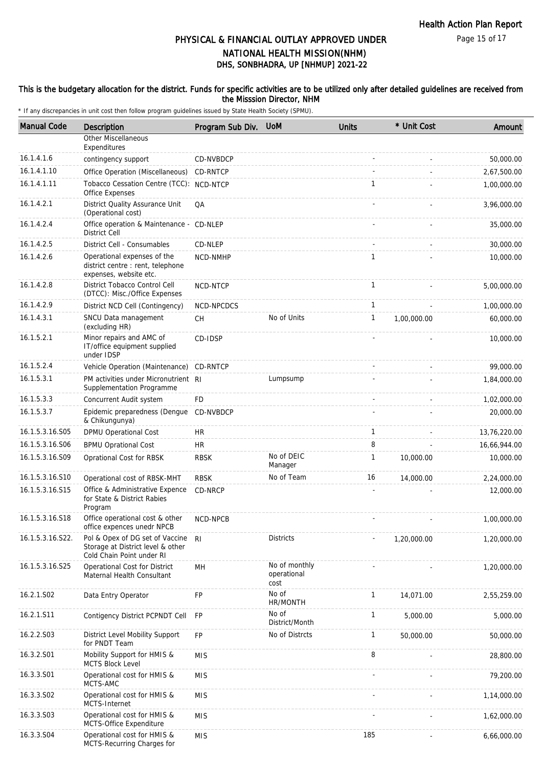#### This is the budgetary allocation for the district. Funds for specific activities are to be utilized only after detailed guidelines are received from the Misssion Director, NHM

| <b>Manual Code</b> | Description                                                                                       | Program Sub Div. | <b>UoM</b>                           | <b>Units</b> | * Unit Cost | Amount       |
|--------------------|---------------------------------------------------------------------------------------------------|------------------|--------------------------------------|--------------|-------------|--------------|
|                    | <b>Other Miscellaneous</b><br>Expenditures                                                        |                  |                                      |              |             |              |
| 16.1.4.1.6         | contingency support                                                                               | CD-NVBDCP        |                                      |              |             | 50,000.00    |
| 16.1.4.1.10        | Office Operation (Miscellaneous)                                                                  | CD-RNTCP         |                                      |              |             | 2,67,500.00  |
| 16.1.4.1.11        | Tobacco Cessation Centre (TCC): NCD-NTCP<br>Office Expenses                                       |                  |                                      | $\mathbf{1}$ |             | 1,00,000.00  |
| 16.1.4.2.1         | District Quality Assurance Unit<br>(Operational cost)                                             | QA               |                                      |              |             | 3,96,000.00  |
| 16.1.4.2.4         | Office operation & Maintenance - CD-NLEP<br><b>District Cell</b>                                  |                  |                                      |              |             | 35,000.00    |
| 16.1.4.2.5         | District Cell - Consumables                                                                       | CD-NLEP          |                                      |              |             | 30,000.00    |
| 16.1.4.2.6         | Operational expenses of the<br>district centre : rent, telephone<br>expenses, website etc.        | NCD-NMHP         |                                      | 1            |             | 10,000.00    |
| 16.1.4.2.8         | District Tobacco Control Cell<br>(DTCC): Misc./Office Expenses                                    | NCD-NTCP         |                                      | $\mathbf{1}$ |             | 5,00,000.00  |
| 16.1.4.2.9         | District NCD Cell (Contingency)                                                                   | NCD-NPCDCS       |                                      | 1            |             | 1,00,000.00  |
| 16.1.4.3.1         | SNCU Data management<br>(excluding HR)                                                            | <b>CH</b>        | No of Units                          | $\mathbf{1}$ | 1,00,000.00 | 60,000.00    |
| 16.1.5.2.1         | Minor repairs and AMC of<br>IT/office equipment supplied<br>under IDSP                            | CD-IDSP          |                                      |              |             | 10,000.00    |
| 16.1.5.2.4         | Vehicle Operation (Maintenance)                                                                   | CD-RNTCP         |                                      |              |             | 99,000.00    |
| 16.1.5.3.1         | PM activities under Micronutrient RI<br>Supplementation Programme                                 |                  | Lumpsump                             |              |             | 1,84,000.00  |
| 16.1.5.3.3         | Concurrent Audit system                                                                           | <b>FD</b>        |                                      |              |             | 1,02,000.00  |
| 16.1.5.3.7         | Epidemic preparedness (Dengue<br>& Chikungunya)                                                   | CD-NVBDCP        |                                      |              |             | 20,000.00    |
| 16.1.5.3.16.S05    | DPMU Operational Cost                                                                             | <b>HR</b>        |                                      | $\mathbf{1}$ |             | 13,76,220.00 |
| 16.1.5.3.16.S06    | <b>BPMU Oprational Cost</b>                                                                       | <b>HR</b>        |                                      | 8            |             | 16,66,944.00 |
| 16.1.5.3.16.S09    | Oprational Cost for RBSK                                                                          | <b>RBSK</b>      | No of DEIC<br>Manager                | 1            | 10,000.00   | 10,000.00    |
| 16.1.5.3.16.S10    | Operational cost of RBSK-MHT                                                                      | <b>RBSK</b>      | No of Team                           | 16           | 14,000.00   | 2,24,000.00  |
| 16.1.5.3.16.S15    | Office & Administrative Expence<br>for State & District Rabies<br>Program                         | CD-NRCP          |                                      |              |             | 12,000.00    |
| 16.1.5.3.16.S18    | Office operational cost & other<br>office expences unedr NPCB                                     | NCD-NPCB         |                                      |              |             | 1,00,000.00  |
| 16.1.5.3.16.S22.   | Pol & Opex of DG set of Vaccine<br>Storage at District level & other<br>Cold Chain Point under RI | R <sub>l</sub>   | <b>Districts</b>                     |              | 1,20,000.00 | 1,20,000.00  |
| 16.1.5.3.16.S25    | Operational Cost for District<br>Maternal Health Consultant                                       | MH               | No of monthly<br>operational<br>cost |              |             | 1,20,000.00  |
| 16.2.1.S02         | Data Entry Operator                                                                               | <b>FP</b>        | No of<br>HR/MONTH                    | $\mathbf{1}$ | 14,071.00   | 2,55,259.00  |
| 16.2.1.S11         | Contigency District PCPNDT Cell                                                                   | FP               | No of<br>District/Month              | $\mathbf{1}$ | 5,000.00    | 5,000.00     |
| 16.2.2.S03         | District Level Mobility Support<br>for PNDT Team                                                  | <b>FP</b>        | No of Distrcts                       | $\mathbf{1}$ | 50,000.00   | 50,000.00    |
| 16.3.2.S01         | Mobility Support for HMIS &<br><b>MCTS Block Level</b>                                            | <b>MIS</b>       |                                      | 8            |             | 28,800.00    |
| 16.3.3.S01         | Operational cost for HMIS &<br>MCTS-AMC                                                           | <b>MIS</b>       |                                      |              |             | 79,200.00    |
| 16.3.3.S02         | Operational cost for HMIS &<br>MCTS-Internet                                                      | <b>MIS</b>       |                                      |              |             | 1,14,000.00  |
| 16.3.3.S03         | Operational cost for HMIS &<br>MCTS-Office Expenditure                                            | <b>MIS</b>       |                                      |              |             | 1,62,000.00  |
| 16.3.3.S04         | Operational cost for HMIS &<br>MCTS-Recurring Charges for                                         | <b>MIS</b>       |                                      | 185          |             | 6,66,000.00  |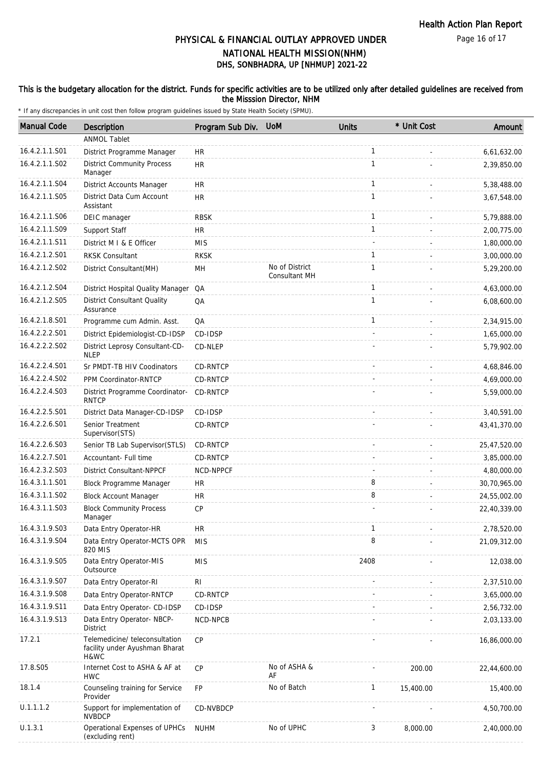Page 16 of 17

### DHS, SONBHADRA, UP [NHMUP] 2021-22 PHYSICAL & FINANCIAL OUTLAY APPROVED UNDER NATIONAL HEALTH MISSION(NHM)

#### This is the budgetary allocation for the district. Funds for specific activities are to be utilized only after detailed guidelines are received from the Misssion Director, NHM

| <b>Manual Code</b> | <b>Description</b>                                                       | Program Sub Div. | <b>UoM</b>                             | <b>Units</b> | * Unit Cost | Amount       |
|--------------------|--------------------------------------------------------------------------|------------------|----------------------------------------|--------------|-------------|--------------|
|                    | <b>ANMOL Tablet</b>                                                      |                  |                                        |              |             |              |
| 16.4.2.1.1.S01     | District Programme Manager                                               | <b>HR</b>        |                                        | $\mathbf{1}$ |             | 6,61,632.00  |
| 16.4.2.1.1.S02     | <b>District Community Process</b><br>Manager                             | <b>HR</b>        |                                        | $\mathbf{1}$ |             | 2,39,850.00  |
| 16.4.2.1.1.S04     | District Accounts Manager                                                | <b>HR</b>        |                                        | $\mathbf{1}$ |             | 5,38,488.00  |
| 16.4.2.1.1.S05     | District Data Cum Account<br>Assistant                                   | <b>HR</b>        |                                        | $\mathbf{1}$ |             | 3,67,548.00  |
| 16.4.2.1.1.S06     | DEIC manager                                                             | <b>RBSK</b>      |                                        | $\mathbf{1}$ |             | 5,79,888.00  |
| 16.4.2.1.1.S09     | Support Staff                                                            | <b>HR</b>        |                                        | $\mathbf{1}$ |             | 2,00,775.00  |
| 16.4.2.1.1.S11     | District M I & E Officer                                                 | <b>MIS</b>       |                                        |              |             | 1,80,000.00  |
| 16.4.2.1.2.S01     | <b>RKSK Consultant</b>                                                   | <b>RKSK</b>      |                                        | 1            |             | 3,00,000.00  |
| 16.4.2.1.2.S02     | District Consultant(MH)                                                  | MH               | No of District<br><b>Consultant MH</b> | $\mathbf{1}$ |             | 5,29,200.00  |
| 16.4.2.1.2.S04     | District Hospital Quality Manager                                        | QA               |                                        | $\mathbf{1}$ |             | 4,63,000.00  |
| 16.4.2.1.2.S05     | <b>District Consultant Quality</b><br>Assurance                          | QA               |                                        | $\mathbf{1}$ |             | 6,08,600.00  |
| 16.4.2.1.8.S01     | Programme cum Admin. Asst.                                               | QA               |                                        | $\mathbf{1}$ |             | 2,34,915.00  |
| 16.4.2.2.2.S01     | District Epidemiologist-CD-IDSP                                          | CD-IDSP          |                                        |              |             | 1,65,000.00  |
| 16.4.2.2.2.S02     | District Leprosy Consultant-CD-<br><b>NLEP</b>                           | CD-NLEP          |                                        |              |             | 5,79,902.00  |
| 16.4.2.2.4.S01     | Sr PMDT-TB HIV Coodinators                                               | CD-RNTCP         |                                        |              |             | 4,68,846.00  |
| 16.4.2.2.4.S02     | PPM Coordinator-RNTCP                                                    | CD-RNTCP         |                                        |              |             | 4,69,000.00  |
| 16.4.2.2.4.S03     | District Programme Coordinator-<br><b>RNTCP</b>                          | CD-RNTCP         |                                        |              |             | 5,59,000.00  |
| 16.4.2.2.5.S01     | District Data Manager-CD-IDSP                                            | CD-IDSP          |                                        |              |             | 3,40,591.00  |
| 16.4.2.2.6.S01     | Senior Treatment<br>Supervisor(STS)                                      | CD-RNTCP         |                                        |              |             | 43,41,370.00 |
| 16.4.2.2.6.S03     | Senior TB Lab Supervisor(STLS)                                           | CD-RNTCP         |                                        |              |             | 25,47,520.00 |
| 16.4.2.2.7.S01     | Accountant- Full time                                                    | CD-RNTCP         |                                        |              |             | 3,85,000.00  |
| 16.4.2.3.2.S03     | <b>District Consultant-NPPCF</b>                                         | NCD-NPPCF        |                                        |              |             | 4,80,000.00  |
| 16.4.3.1.1.S01     | Block Programme Manager                                                  | <b>HR</b>        |                                        | 8            |             | 30,70,965.00 |
| 16.4.3.1.1.S02     | <b>Block Account Manager</b>                                             | <b>HR</b>        |                                        | 8            |             | 24,55,002.00 |
| 16.4.3.1.1.S03     | <b>Block Community Process</b><br>Manager                                | <b>CP</b>        |                                        |              |             | 22,40,339.00 |
| 16.4.3.1.9.S03     | Data Entry Operator-HR                                                   | <b>HR</b>        |                                        | 1            |             | 2,78,520.00  |
| 16.4.3.1.9.S04     | Data Entry Operator-MCTS OPR<br>820 MIS                                  | <b>MIS</b>       |                                        | 8            |             | 21,09,312.00 |
| 16.4.3.1.9.S05     | Data Entry Operator-MIS<br>Outsource                                     | <b>MIS</b>       |                                        | 2408         |             | 12,038.00    |
| 16.4.3.1.9.S07     | Data Entry Operator-RI                                                   | RI               |                                        |              |             | 2,37,510.00  |
| 16.4.3.1.9.S08     | Data Entry Operator-RNTCP                                                | CD-RNTCP         |                                        |              |             | 3,65,000.00  |
| 16.4.3.1.9.S11     | Data Entry Operator- CD-IDSP                                             | CD-IDSP          |                                        |              |             | 2,56,732.00  |
| 16.4.3.1.9.S13     | Data Entry Operator- NBCP-<br><b>District</b>                            | NCD-NPCB         |                                        |              |             | 2,03,133.00  |
| 17.2.1             | Telemedicine/ teleconsultation<br>facility under Ayushman Bharat<br>H&WC | CP               |                                        |              |             | 16,86,000.00 |
| 17.8.S05           | Internet Cost to ASHA & AF at<br><b>HWC</b>                              | <b>CP</b>        | No of ASHA &<br>AF                     |              | 200.00      | 22,44,600.00 |
| 18.1.4             | Counseling training for Service<br>Provider                              | <b>FP</b>        | No of Batch                            | $\mathbf{1}$ | 15,400.00   | 15,400.00    |
| U.1.1.1.2          | Support for implementation of<br><b>NVBDCP</b>                           | CD-NVBDCP        |                                        |              |             | 4,50,700.00  |
| U.1.3.1            | Operational Expenses of UPHCs<br>(excluding rent)                        | <b>NUHM</b>      | No of UPHC                             | 3            | 8,000.00    | 2,40,000.00  |